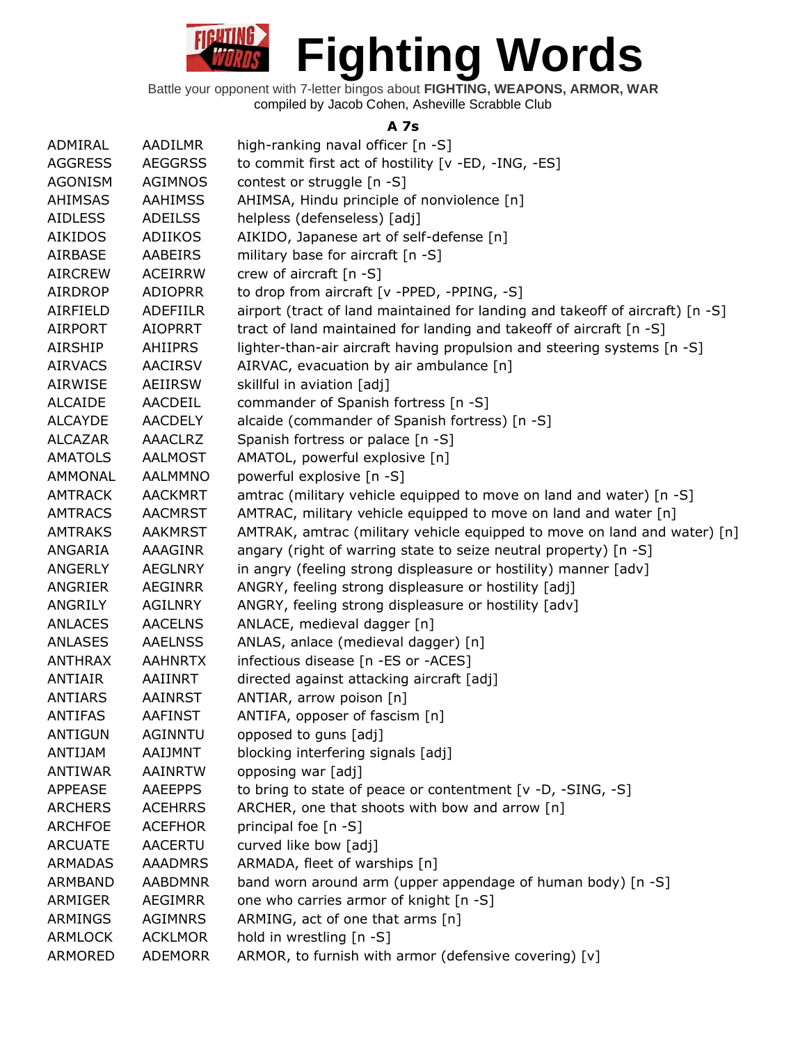

Battle your opponent with 7-letter bingos about **FIGHTING, WEAPONS, ARMOR, WAR** compiled by Jacob Cohen, Asheville Scrabble Club

#### **A 7s**

| ADMIRAL        | AADILMR         | high-ranking naval officer [n -S]                                             |
|----------------|-----------------|-------------------------------------------------------------------------------|
| <b>AGGRESS</b> | <b>AEGGRSS</b>  | to commit first act of hostility [v -ED, -ING, -ES]                           |
| <b>AGONISM</b> | <b>AGIMNOS</b>  | contest or struggle [n -S]                                                    |
| <b>AHIMSAS</b> | <b>AAHIMSS</b>  | AHIMSA, Hindu principle of nonviolence [n]                                    |
| <b>AIDLESS</b> | <b>ADEILSS</b>  | helpless (defenseless) [adj]                                                  |
| <b>AIKIDOS</b> | ADIIKOS         | AIKIDO, Japanese art of self-defense [n]                                      |
| AIRBASE        | <b>AABEIRS</b>  | military base for aircraft [n -S]                                             |
| <b>AIRCREW</b> | <b>ACEIRRW</b>  | crew of aircraft [n -S]                                                       |
| <b>AIRDROP</b> | <b>ADIOPRR</b>  | to drop from aircraft [v -PPED, -PPING, -S]                                   |
| AIRFIELD       | <b>ADEFIILR</b> | airport (tract of land maintained for landing and takeoff of aircraft) [n -S] |
| <b>AIRPORT</b> | <b>AIOPRRT</b>  | tract of land maintained for landing and takeoff of aircraft [n -S]           |
| AIRSHIP        | <b>AHIIPRS</b>  | lighter-than-air aircraft having propulsion and steering systems [n -S]       |
| <b>AIRVACS</b> | <b>AACIRSV</b>  | AIRVAC, evacuation by air ambulance [n]                                       |
| AIRWISE        | AEIIRSW         | skillful in aviation [adj]                                                    |
| <b>ALCAIDE</b> | AACDEIL         | commander of Spanish fortress [n -S]                                          |
| <b>ALCAYDE</b> | <b>AACDELY</b>  | alcaide (commander of Spanish fortress) [n -S]                                |
| <b>ALCAZAR</b> | <b>AAACLRZ</b>  | Spanish fortress or palace [n -S]                                             |
| <b>AMATOLS</b> | <b>AALMOST</b>  | AMATOL, powerful explosive [n]                                                |
| AMMONAL        | <b>AALMMNO</b>  | powerful explosive [n -S]                                                     |
| <b>AMTRACK</b> | <b>AACKMRT</b>  | amtrac (military vehicle equipped to move on land and water) [n -S]           |
| <b>AMTRACS</b> | <b>AACMRST</b>  | AMTRAC, military vehicle equipped to move on land and water [n]               |
| <b>AMTRAKS</b> | <b>AAKMRST</b>  | AMTRAK, amtrac (military vehicle equipped to move on land and water) [n]      |
| ANGARIA        | AAAGINR         | angary (right of warring state to seize neutral property) [n -S]              |
| <b>ANGERLY</b> | <b>AEGLNRY</b>  | in angry (feeling strong displeasure or hostility) manner [adv]               |
| ANGRIER        | <b>AEGINRR</b>  | ANGRY, feeling strong displeasure or hostility [adj]                          |
| ANGRILY        | <b>AGILNRY</b>  | ANGRY, feeling strong displeasure or hostility [adv]                          |
| <b>ANLACES</b> | <b>AACELNS</b>  | ANLACE, medieval dagger [n]                                                   |
| <b>ANLASES</b> | <b>AAELNSS</b>  | ANLAS, anlace (medieval dagger) [n]                                           |
| <b>ANTHRAX</b> | <b>AAHNRTX</b>  | infectious disease [n -ES or -ACES]                                           |
| <b>ANTIAIR</b> | AAIINRT         | directed against attacking aircraft [adj]                                     |
| <b>ANTIARS</b> | <b>AAINRST</b>  | ANTIAR, arrow poison [n]                                                      |
| <b>ANTIFAS</b> | <b>AAFINST</b>  | ANTIFA, opposer of fascism [n]                                                |
| <b>ANTIGUN</b> | <b>AGINNTU</b>  | opposed to guns [adj]                                                         |
| ANTIJAM        | AAIJMNT         | blocking interfering signals [adj]                                            |
| <b>ANTIWAR</b> | AAINRTW         | opposing war [adj]                                                            |
| <b>APPEASE</b> | <b>AAEEPPS</b>  | to bring to state of peace or contentment [v -D, -SING, -S]                   |
| <b>ARCHERS</b> | <b>ACEHRRS</b>  | ARCHER, one that shoots with bow and arrow [n]                                |
| <b>ARCHFOE</b> | <b>ACEFHOR</b>  | principal foe [n -S]                                                          |
| <b>ARCUATE</b> | AACERTU         | curved like bow [adj]                                                         |
| <b>ARMADAS</b> | <b>AAADMRS</b>  | ARMADA, fleet of warships [n]                                                 |
| ARMBAND        | <b>AABDMNR</b>  | band worn around arm (upper appendage of human body) [n -S]                   |
| ARMIGER        | AEGIMRR         | one who carries armor of knight [n -S]                                        |
| ARMINGS        | <b>AGIMNRS</b>  | ARMING, act of one that arms [n]                                              |
| <b>ARMLOCK</b> | <b>ACKLMOR</b>  | hold in wrestling [n -S]                                                      |
| ARMORED        | <b>ADEMORR</b>  | ARMOR, to furnish with armor (defensive covering) [v]                         |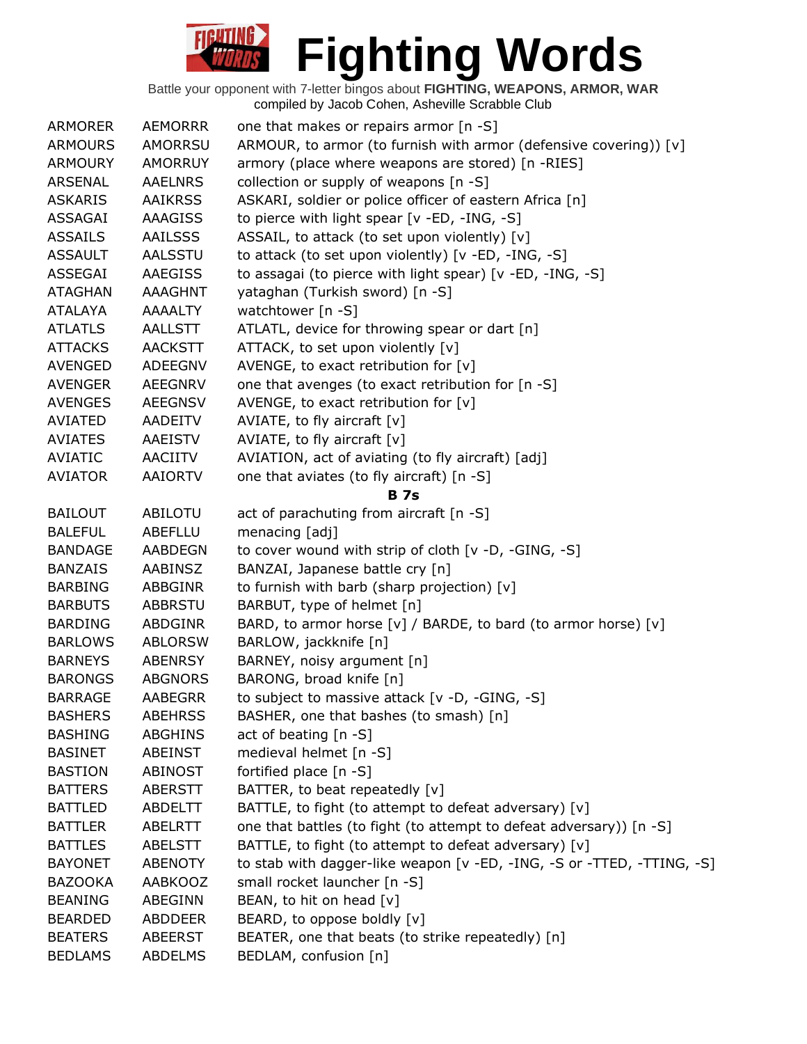| <b>ARMORER</b> | <b>AEMORRR</b> | one that makes or repairs armor $[n - S]$                              |
|----------------|----------------|------------------------------------------------------------------------|
| <b>ARMOURS</b> | <b>AMORRSU</b> | ARMOUR, to armor (to furnish with armor (defensive covering)) [v]      |
| <b>ARMOURY</b> | <b>AMORRUY</b> | armory (place where weapons are stored) [n -RIES]                      |
| <b>ARSENAL</b> | <b>AAELNRS</b> | collection or supply of weapons [n -S]                                 |
| <b>ASKARIS</b> | <b>AAIKRSS</b> | ASKARI, soldier or police officer of eastern Africa [n]                |
| ASSAGAI        | AAAGISS        | to pierce with light spear [v -ED, -ING, -S]                           |
| <b>ASSAILS</b> | <b>AAILSSS</b> | ASSAIL, to attack (to set upon violently) [v]                          |
| <b>ASSAULT</b> | AALSSTU        | to attack (to set upon violently) [v -ED, -ING, -S]                    |
| ASSEGAI        | <b>AAEGISS</b> | to assagai (to pierce with light spear) [v -ED, -ING, -S]              |
| <b>ATAGHAN</b> | <b>AAAGHNT</b> | yataghan (Turkish sword) [n -S]                                        |
| <b>ATALAYA</b> | <b>AAAALTY</b> | watchtower [n -S]                                                      |
| <b>ATLATLS</b> | <b>AALLSTT</b> | ATLATL, device for throwing spear or dart [n]                          |
| <b>ATTACKS</b> | <b>AACKSTT</b> | ATTACK, to set upon violently [v]                                      |
| AVENGED        | ADEEGNV        | AVENGE, to exact retribution for [v]                                   |
| <b>AVENGER</b> | <b>AEEGNRV</b> | one that avenges (to exact retribution for [n -S]                      |
| <b>AVENGES</b> | <b>AEEGNSV</b> | AVENGE, to exact retribution for $[v]$                                 |
| <b>AVIATED</b> | AADEITV        | AVIATE, to fly aircraft [v]                                            |
| <b>AVIATES</b> | AAEISTV        | AVIATE, to fly aircraft [v]                                            |
| AVIATIC        | AACIITV        | AVIATION, act of aviating (to fly aircraft) [adj]                      |
| <b>AVIATOR</b> | <b>AAIORTV</b> | one that aviates (to fly aircraft) [n -S]                              |
|                |                | <b>B</b> 7s                                                            |
| <b>BAILOUT</b> | ABILOTU        | act of parachuting from aircraft [n -S]                                |
| <b>BALEFUL</b> | <b>ABEFLLU</b> | menacing [adj]                                                         |
| <b>BANDAGE</b> | <b>AABDEGN</b> | to cover wound with strip of cloth [v -D, -GING, -S]                   |
| <b>BANZAIS</b> | AABINSZ        | BANZAI, Japanese battle cry [n]                                        |
| <b>BARBING</b> | ABBGINR        | to furnish with barb (sharp projection) [v]                            |
| <b>BARBUTS</b> | <b>ABBRSTU</b> | BARBUT, type of helmet [n]                                             |
| <b>BARDING</b> | ABDGINR        | BARD, to armor horse [v] / BARDE, to bard (to armor horse) [v]         |
| <b>BARLOWS</b> | <b>ABLORSW</b> | BARLOW, jackknife [n]                                                  |
| <b>BARNEYS</b> | ABENRSY        | BARNEY, noisy argument [n]                                             |
| <b>BARONGS</b> | <b>ABGNORS</b> | BARONG, broad knife [n]                                                |
| <b>BARRAGE</b> | <b>AABEGRR</b> | to subject to massive attack [v -D, -GING, -S]                         |
| <b>BASHERS</b> | <b>ABEHRSS</b> | BASHER, one that bashes (to smash) [n]                                 |
| <b>BASHING</b> | <b>ABGHINS</b> | act of beating $[n - S]$                                               |
| <b>BASINET</b> | ABEINST        | medieval helmet [n -S]                                                 |
| <b>BASTION</b> | <b>ABINOST</b> | fortified place [n -S]                                                 |
| <b>BATTERS</b> | <b>ABERSTT</b> | BATTER, to beat repeatedly [v]                                         |
| <b>BATTLED</b> | <b>ABDELTT</b> | BATTLE, to fight (to attempt to defeat adversary) [v]                  |
| <b>BATTLER</b> | <b>ABELRTT</b> | one that battles (to fight (to attempt to defeat adversary)) [n -S]    |
| <b>BATTLES</b> | <b>ABELSTT</b> | BATTLE, to fight (to attempt to defeat adversary) [v]                  |
| <b>BAYONET</b> | <b>ABENOTY</b> | to stab with dagger-like weapon [v -ED, -ING, -S or -TTED, -TTING, -S] |
| <b>BAZOOKA</b> | <b>AABKOOZ</b> | small rocket launcher [n -S]                                           |
| <b>BEANING</b> | ABEGINN        | BEAN, to hit on head [v]                                               |
| <b>BEARDED</b> | <b>ABDDEER</b> | BEARD, to oppose boldly [v]                                            |
| <b>BEATERS</b> | ABEERST        | BEATER, one that beats (to strike repeatedly) [n]                      |
| <b>BEDLAMS</b> | ABDELMS        | BEDLAM, confusion [n]                                                  |
|                |                |                                                                        |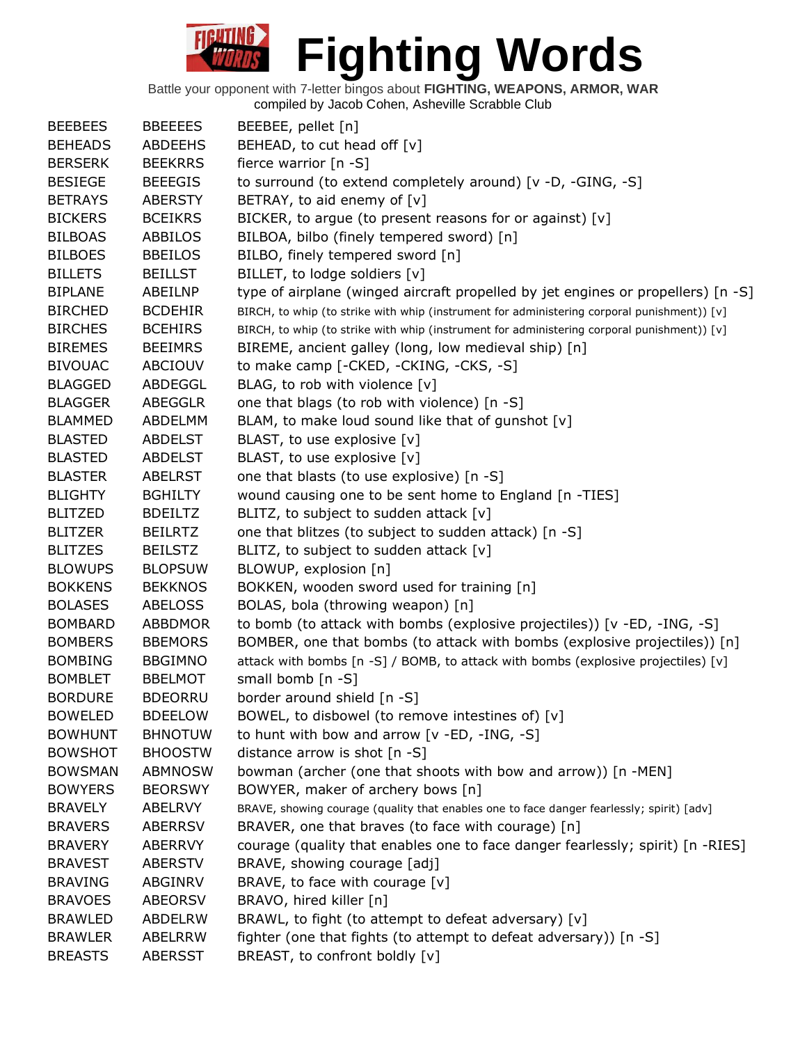| <b>BEEBEES</b> | <b>BBEEEES</b> | BEEBEE, pellet [n]                                                                          |
|----------------|----------------|---------------------------------------------------------------------------------------------|
| <b>BEHEADS</b> | <b>ABDEEHS</b> | BEHEAD, to cut head off [v]                                                                 |
| <b>BERSERK</b> | <b>BEEKRRS</b> | fierce warrior [n -S]                                                                       |
| <b>BESIEGE</b> | <b>BEEEGIS</b> | to surround (to extend completely around) [v -D, -GING, -S]                                 |
| <b>BETRAYS</b> | <b>ABERSTY</b> | BETRAY, to aid enemy of [v]                                                                 |
| <b>BICKERS</b> | <b>BCEIKRS</b> | BICKER, to argue (to present reasons for or against) [v]                                    |
| <b>BILBOAS</b> | ABBILOS        | BILBOA, bilbo (finely tempered sword) [n]                                                   |
| <b>BILBOES</b> | <b>BBEILOS</b> | BILBO, finely tempered sword [n]                                                            |
| <b>BILLETS</b> | <b>BEILLST</b> | BILLET, to lodge soldiers [v]                                                               |
| <b>BIPLANE</b> | ABEILNP        | type of airplane (winged aircraft propelled by jet engines or propellers) [n -S]            |
| <b>BIRCHED</b> | <b>BCDEHIR</b> | BIRCH, to whip (to strike with whip (instrument for administering corporal punishment)) [v] |
| <b>BIRCHES</b> | <b>BCEHIRS</b> | BIRCH, to whip (to strike with whip (instrument for administering corporal punishment)) [v] |
| <b>BIREMES</b> | <b>BEEIMRS</b> | BIREME, ancient galley (long, low medieval ship) [n]                                        |
| <b>BIVOUAC</b> | ABCIOUV        | to make camp [-CKED, -CKING, -CKS, -S]                                                      |
| <b>BLAGGED</b> | ABDEGGL        | BLAG, to rob with violence [v]                                                              |
| <b>BLAGGER</b> | ABEGGLR        | one that blags (to rob with violence) [n -S]                                                |
| <b>BLAMMED</b> | ABDELMM        | BLAM, to make loud sound like that of gunshot [v]                                           |
| <b>BLASTED</b> | <b>ABDELST</b> | BLAST, to use explosive [v]                                                                 |
| <b>BLASTED</b> | <b>ABDELST</b> | BLAST, to use explosive [v]                                                                 |
| <b>BLASTER</b> | <b>ABELRST</b> | one that blasts (to use explosive) [n -S]                                                   |
| <b>BLIGHTY</b> | <b>BGHILTY</b> | wound causing one to be sent home to England [n -TIES]                                      |
| <b>BLITZED</b> | <b>BDEILTZ</b> | BLITZ, to subject to sudden attack [v]                                                      |
| <b>BLITZER</b> | <b>BEILRTZ</b> | one that blitzes (to subject to sudden attack) [n -S]                                       |
| <b>BLITZES</b> | <b>BEILSTZ</b> | BLITZ, to subject to sudden attack [v]                                                      |
| <b>BLOWUPS</b> | <b>BLOPSUW</b> | BLOWUP, explosion [n]                                                                       |
| <b>BOKKENS</b> | <b>BEKKNOS</b> | BOKKEN, wooden sword used for training [n]                                                  |
| <b>BOLASES</b> | <b>ABELOSS</b> | BOLAS, bola (throwing weapon) [n]                                                           |
| <b>BOMBARD</b> | <b>ABBDMOR</b> | to bomb (to attack with bombs (explosive projectiles)) [v -ED, -ING, -S]                    |
| <b>BOMBERS</b> | <b>BBEMORS</b> | BOMBER, one that bombs (to attack with bombs (explosive projectiles)) [n]                   |
| <b>BOMBING</b> | <b>BBGIMNO</b> | attack with bombs [n -S] / BOMB, to attack with bombs (explosive projectiles) [v]           |
| <b>BOMBLET</b> | <b>BBELMOT</b> | small bomb [n -S]                                                                           |
| <b>BORDURE</b> | <b>BDEORRU</b> | border around shield [n -S]                                                                 |
| <b>BOWELED</b> | <b>BDEELOW</b> | BOWEL, to disbowel (to remove intestines of) [v]                                            |
| <b>BOWHUNT</b> | <b>BHNOTUW</b> | to hunt with bow and arrow [v -ED, -ING, -S]                                                |
| <b>BOWSHOT</b> | <b>BHOOSTW</b> | distance arrow is shot [n -S]                                                               |
| <b>BOWSMAN</b> | <b>ABMNOSW</b> | bowman (archer (one that shoots with bow and arrow)) [n -MEN]                               |
| <b>BOWYERS</b> | <b>BEORSWY</b> | BOWYER, maker of archery bows [n]                                                           |
| <b>BRAVELY</b> | ABELRVY        | BRAVE, showing courage (quality that enables one to face danger fearlessly; spirit) [adv]   |
| <b>BRAVERS</b> | <b>ABERRSV</b> | BRAVER, one that braves (to face with courage) [n]                                          |
| <b>BRAVERY</b> | ABERRVY        | courage (quality that enables one to face danger fearlessly; spirit) [n -RIES]              |
| <b>BRAVEST</b> | <b>ABERSTV</b> | BRAVE, showing courage [adj]                                                                |
| <b>BRAVING</b> | ABGINRV        | BRAVE, to face with courage [v]                                                             |
| <b>BRAVOES</b> | <b>ABEORSV</b> | BRAVO, hired killer [n]                                                                     |
| <b>BRAWLED</b> | <b>ABDELRW</b> | BRAWL, to fight (to attempt to defeat adversary) [v]                                        |
| <b>BRAWLER</b> | ABELRRW        | fighter (one that fights (to attempt to defeat adversary)) [n -S]                           |
| <b>BREASTS</b> | <b>ABERSST</b> | BREAST, to confront boldly [v]                                                              |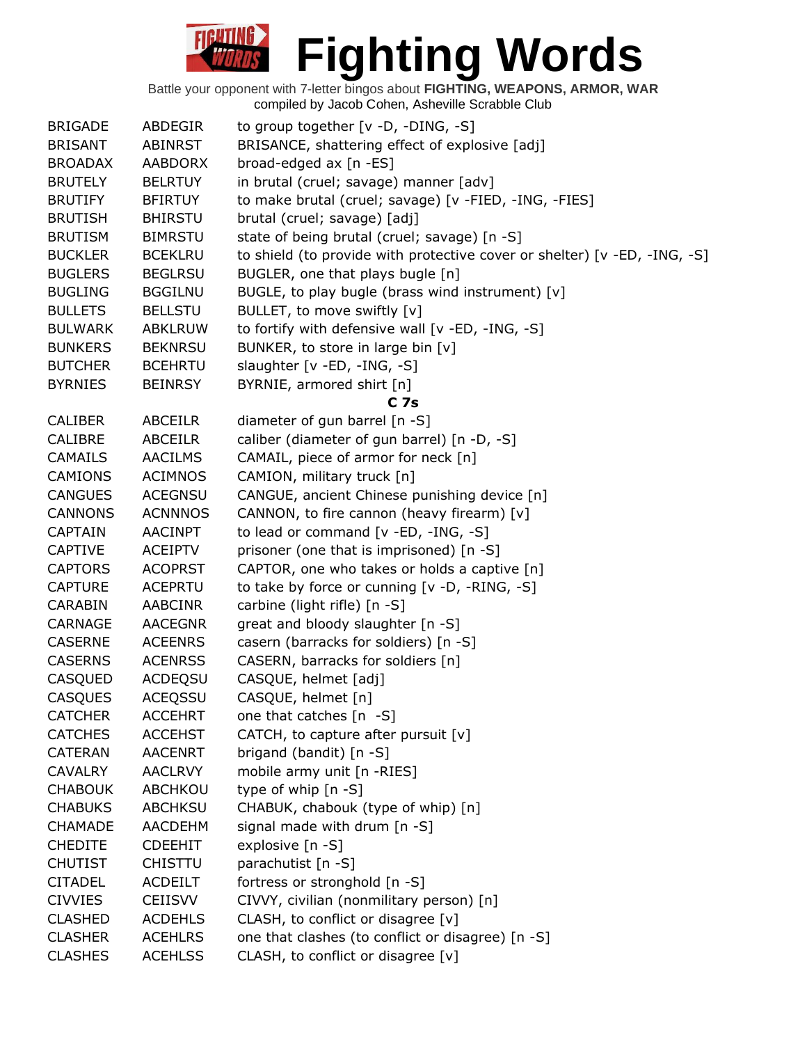| <b>BRIGADE</b> | <b>ABDEGIR</b> | to group together $[v -D, -DING, -S]$                                     |
|----------------|----------------|---------------------------------------------------------------------------|
| <b>BRISANT</b> | <b>ABINRST</b> | BRISANCE, shattering effect of explosive [adj]                            |
| <b>BROADAX</b> | <b>AABDORX</b> | broad-edged ax [n -ES]                                                    |
| <b>BRUTELY</b> | <b>BELRTUY</b> | in brutal (cruel; savage) manner [adv]                                    |
| <b>BRUTIFY</b> | <b>BFIRTUY</b> | to make brutal (cruel; savage) [v -FIED, -ING, -FIES]                     |
| <b>BRUTISH</b> | <b>BHIRSTU</b> | brutal (cruel; savage) [adj]                                              |
| <b>BRUTISM</b> | <b>BIMRSTU</b> | state of being brutal (cruel; savage) [n -S]                              |
| <b>BUCKLER</b> | <b>BCEKLRU</b> | to shield (to provide with protective cover or shelter) [v -ED, -ING, -S] |
| <b>BUGLERS</b> | <b>BEGLRSU</b> | BUGLER, one that plays bugle [n]                                          |
| <b>BUGLING</b> | <b>BGGILNU</b> | BUGLE, to play bugle (brass wind instrument) [v]                          |
| <b>BULLETS</b> | <b>BELLSTU</b> | BULLET, to move swiftly [v]                                               |
| <b>BULWARK</b> | <b>ABKLRUW</b> | to fortify with defensive wall [v -ED, -ING, -S]                          |
| <b>BUNKERS</b> | <b>BEKNRSU</b> | BUNKER, to store in large bin [v]                                         |
| <b>BUTCHER</b> | <b>BCEHRTU</b> | slaughter [v -ED, -ING, -S]                                               |
| <b>BYRNIES</b> | <b>BEINRSY</b> | BYRNIE, armored shirt [n]                                                 |
|                |                | C <sub>7s</sub>                                                           |
| <b>CALIBER</b> | <b>ABCEILR</b> | diameter of gun barrel [n -S]                                             |
|                |                |                                                                           |
| <b>CALIBRE</b> | <b>ABCEILR</b> | caliber (diameter of gun barrel) [n -D, -S]                               |
| <b>CAMAILS</b> | <b>AACILMS</b> | CAMAIL, piece of armor for neck [n]                                       |
| <b>CAMIONS</b> | <b>ACIMNOS</b> | CAMION, military truck [n]                                                |
| <b>CANGUES</b> | <b>ACEGNSU</b> | CANGUE, ancient Chinese punishing device [n]                              |
| <b>CANNONS</b> | <b>ACNNNOS</b> | CANNON, to fire cannon (heavy firearm) [v]                                |
| <b>CAPTAIN</b> | <b>AACINPT</b> | to lead or command [v -ED, -ING, -S]                                      |
| <b>CAPTIVE</b> | <b>ACEIPTV</b> | prisoner (one that is imprisoned) [n -S]                                  |
| <b>CAPTORS</b> | <b>ACOPRST</b> | CAPTOR, one who takes or holds a captive [n]                              |
| <b>CAPTURE</b> | <b>ACEPRTU</b> | to take by force or cunning [v -D, -RING, -S]                             |
| CARABIN        | <b>AABCINR</b> | carbine (light rifle) [n -S]                                              |
| <b>CARNAGE</b> | <b>AACEGNR</b> | great and bloody slaughter [n -S]                                         |
| <b>CASERNE</b> | <b>ACEENRS</b> | casern (barracks for soldiers) [n -S]                                     |
| <b>CASERNS</b> | <b>ACENRSS</b> | CASERN, barracks for soldiers [n]                                         |
| CASQUED        | <b>ACDEQSU</b> | CASQUE, helmet [adj]                                                      |
| <b>CASQUES</b> | <b>ACEOSSU</b> | CASQUE, helmet [n]                                                        |
| <b>CATCHER</b> | <b>ACCEHRT</b> | one that catches $[n -S]$                                                 |
| <b>CATCHES</b> | <b>ACCEHST</b> | CATCH, to capture after pursuit [v]                                       |
| <b>CATERAN</b> | <b>AACENRT</b> | brigand (bandit) [n -S]                                                   |
| <b>CAVALRY</b> | <b>AACLRVY</b> | mobile army unit [n -RIES]                                                |
| <b>CHABOUK</b> | ABCHKOU        | type of whip [n -S]                                                       |
| <b>CHABUKS</b> | <b>ABCHKSU</b> | CHABUK, chabouk (type of whip) [n]                                        |
| <b>CHAMADE</b> | <b>AACDEHM</b> | signal made with drum [n -S]                                              |
| <b>CHEDITE</b> |                |                                                                           |
|                | <b>CDEEHIT</b> | explosive [n -S]                                                          |
| <b>CHUTIST</b> | <b>CHISTTU</b> | parachutist [n -S]                                                        |
| <b>CITADEL</b> | <b>ACDEILT</b> | fortress or stronghold [n -S]                                             |
| <b>CIVVIES</b> | <b>CEIISVV</b> | CIVVY, civilian (nonmilitary person) [n]                                  |
| <b>CLASHED</b> | <b>ACDEHLS</b> | CLASH, to conflict or disagree [v]                                        |
| <b>CLASHER</b> | <b>ACEHLRS</b> | one that clashes (to conflict or disagree) [n -S]                         |
| <b>CLASHES</b> | <b>ACEHLSS</b> | CLASH, to conflict or disagree [v]                                        |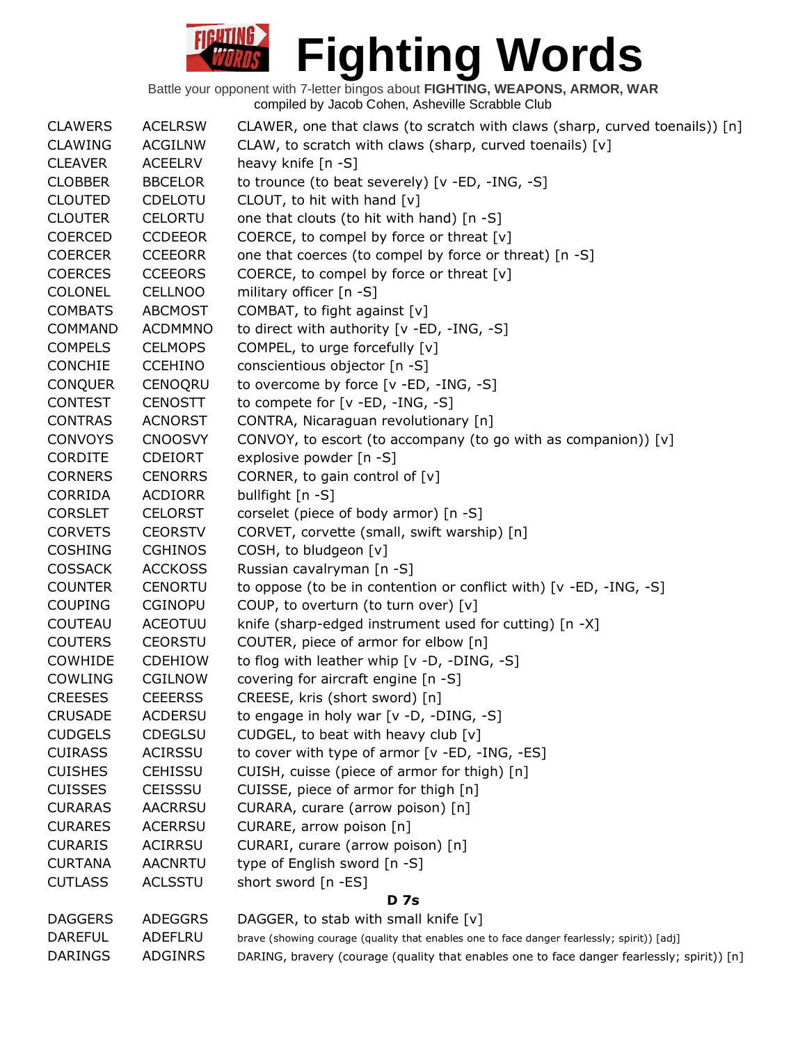| <b>CLAWERS</b> | <b>ACELRSW</b> | CLAWER, one that claws (to scratch with claws (sharp, curved toenails)) $[n]$              |  |
|----------------|----------------|--------------------------------------------------------------------------------------------|--|
| <b>CLAWING</b> | <b>ACGILNW</b> | CLAW, to scratch with claws (sharp, curved toenails) [v]                                   |  |
| <b>CLEAVER</b> | <b>ACEELRV</b> | heavy knife $[n - S]$                                                                      |  |
| <b>CLOBBER</b> | <b>BBCELOR</b> | to trounce (to beat severely) [v -ED, -ING, -S]                                            |  |
| <b>CLOUTED</b> | <b>CDELOTU</b> | CLOUT, to hit with hand [v]                                                                |  |
| <b>CLOUTER</b> | <b>CELORTU</b> | one that clouts (to hit with hand) [n -S]                                                  |  |
| <b>COERCED</b> | <b>CCDEEOR</b> | COERCE, to compel by force or threat [v]                                                   |  |
| <b>COERCER</b> | <b>CCEEORR</b> | one that coerces (to compel by force or threat) [n -S]                                     |  |
| <b>COERCES</b> | <b>CCEEORS</b> | COERCE, to compel by force or threat [v]                                                   |  |
| <b>COLONEL</b> | <b>CELLNOO</b> | military officer [n -S]                                                                    |  |
| <b>COMBATS</b> | <b>ABCMOST</b> | COMBAT, to fight against [v]                                                               |  |
| <b>COMMAND</b> | <b>ACDMMNO</b> | to direct with authority [v -ED, -ING, -S]                                                 |  |
| <b>COMPELS</b> | <b>CELMOPS</b> | COMPEL, to urge forcefully [v]                                                             |  |
| <b>CONCHIE</b> | <b>CCEHINO</b> | conscientious objector [n -S]                                                              |  |
| <b>CONQUER</b> | CENOQRU        | to overcome by force [v -ED, -ING, -S]                                                     |  |
| <b>CONTEST</b> | <b>CENOSTT</b> | to compete for [v -ED, -ING, -S]                                                           |  |
| <b>CONTRAS</b> | <b>ACNORST</b> | CONTRA, Nicaraguan revolutionary [n]                                                       |  |
| <b>CONVOYS</b> | <b>CNOOSVY</b> | CONVOY, to escort (to accompany (to go with as companion)) [v]                             |  |
| <b>CORDITE</b> | <b>CDEIORT</b> | explosive powder [n -S]                                                                    |  |
| <b>CORNERS</b> | <b>CENORRS</b> | CORNER, to gain control of [v]                                                             |  |
| CORRIDA        | <b>ACDIORR</b> | bullfight [n -S]                                                                           |  |
| <b>CORSLET</b> | <b>CELORST</b> | corselet (piece of body armor) [n -S]                                                      |  |
| <b>CORVETS</b> | <b>CEORSTV</b> | CORVET, corvette (small, swift warship) [n]                                                |  |
| <b>COSHING</b> | <b>CGHINOS</b> | COSH, to bludgeon [v]                                                                      |  |
| <b>COSSACK</b> | <b>ACCKOSS</b> | Russian cavalryman [n -S]                                                                  |  |
| <b>COUNTER</b> | <b>CENORTU</b> | to oppose (to be in contention or conflict with) [v -ED, -ING, -S]                         |  |
| <b>COUPING</b> | <b>CGINOPU</b> | COUP, to overturn (to turn over) [v]                                                       |  |
| COUTEAU        | <b>ACEOTUU</b> | knife (sharp-edged instrument used for cutting) [n -X]                                     |  |
| <b>COUTERS</b> | <b>CEORSTU</b> | COUTER, piece of armor for elbow [n]                                                       |  |
| COWHIDE        | <b>CDEHIOW</b> | to flog with leather whip [v -D, -DING, -S]                                                |  |
| COWLING        | <b>CGILNOW</b> | covering for aircraft engine [n -S]                                                        |  |
| <b>CREESES</b> | <b>CEEERSS</b> | CREESE, kris (short sword) [n]                                                             |  |
| <b>CRUSADE</b> | <b>ACDERSU</b> | to engage in holy war [v -D, -DING, -S]                                                    |  |
| <b>CUDGELS</b> |                |                                                                                            |  |
|                | CDEGLSU        | CUDGEL, to beat with heavy club [v]                                                        |  |
| <b>CUIRASS</b> | <b>ACIRSSU</b> | to cover with type of armor [v -ED, -ING, -ES]                                             |  |
| <b>CUISHES</b> | <b>CEHISSU</b> | CUISH, cuisse (piece of armor for thigh) [n]                                               |  |
| <b>CUISSES</b> | <b>CEISSSU</b> | CUISSE, piece of armor for thigh [n]                                                       |  |
| <b>CURARAS</b> | <b>AACRRSU</b> | CURARA, curare (arrow poison) [n]                                                          |  |
| <b>CURARES</b> | <b>ACERRSU</b> | CURARE, arrow poison [n]                                                                   |  |
| <b>CURARIS</b> | <b>ACIRRSU</b> | CURARI, curare (arrow poison) [n]                                                          |  |
| <b>CURTANA</b> | <b>AACNRTU</b> | type of English sword [n -S]                                                               |  |
| <b>CUTLASS</b> | <b>ACLSSTU</b> | short sword [n -ES]                                                                        |  |
| <b>D</b> 7s    |                |                                                                                            |  |
| <b>DAGGERS</b> | <b>ADEGGRS</b> | DAGGER, to stab with small knife $[v]$                                                     |  |
| <b>DAREFUL</b> | ADEFLRU        | brave (showing courage (quality that enables one to face danger fearlessly; spirit)) [adj] |  |
| <b>DARINGS</b> | <b>ADGINRS</b> | DARING, bravery (courage (quality that enables one to face danger fearlessly; spirit)) [n] |  |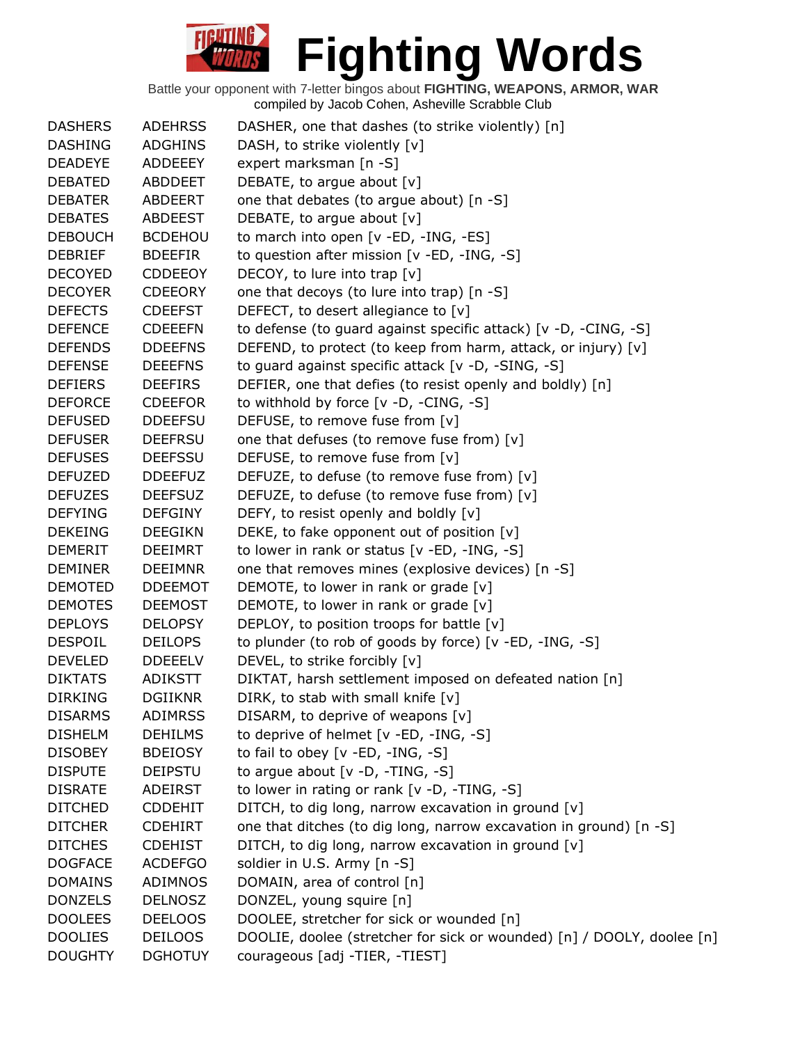| <b>DASHERS</b> | <b>ADEHRSS</b> | DASHER, one that dashes (to strike violently) [n]                      |
|----------------|----------------|------------------------------------------------------------------------|
| <b>DASHING</b> | <b>ADGHINS</b> | DASH, to strike violently [v]                                          |
| <b>DEADEYE</b> | <b>ADDEEEY</b> | expert marksman [n -S]                                                 |
| <b>DEBATED</b> | <b>ABDDEET</b> | DEBATE, to argue about [v]                                             |
| <b>DEBATER</b> | ABDEERT        | one that debates (to argue about) [n -S]                               |
| <b>DEBATES</b> | ABDEEST        | DEBATE, to argue about [v]                                             |
| <b>DEBOUCH</b> | <b>BCDEHOU</b> | to march into open [v -ED, -ING, -ES]                                  |
| <b>DEBRIEF</b> | <b>BDEEFIR</b> | to question after mission [v -ED, -ING, -S]                            |
| <b>DECOYED</b> | <b>CDDEEOY</b> | DECOY, to lure into trap [v]                                           |
| <b>DECOYER</b> | <b>CDEEORY</b> | one that decoys (to lure into trap) [n -S]                             |
| <b>DEFECTS</b> | <b>CDEEFST</b> | DEFECT, to desert allegiance to [v]                                    |
| <b>DEFENCE</b> | <b>CDEEEFN</b> | to defense (to guard against specific attack) [v -D, -CING, -S]        |
| <b>DEFENDS</b> | <b>DDEEFNS</b> | DEFEND, to protect (to keep from harm, attack, or injury) [v]          |
| <b>DEFENSE</b> | <b>DEEEFNS</b> | to guard against specific attack [v -D, -SING, -S]                     |
| <b>DEFIERS</b> | <b>DEEFIRS</b> | DEFIER, one that defies (to resist openly and boldly) [n]              |
| <b>DEFORCE</b> | <b>CDEEFOR</b> | to withhold by force [v -D, -CING, -S]                                 |
| <b>DEFUSED</b> | <b>DDEEFSU</b> | DEFUSE, to remove fuse from [v]                                        |
| <b>DEFUSER</b> | <b>DEEFRSU</b> | one that defuses (to remove fuse from) [v]                             |
| <b>DEFUSES</b> | <b>DEEFSSU</b> | DEFUSE, to remove fuse from [v]                                        |
| <b>DEFUZED</b> | <b>DDEEFUZ</b> | DEFUZE, to defuse (to remove fuse from) [v]                            |
| <b>DEFUZES</b> | <b>DEEFSUZ</b> | DEFUZE, to defuse (to remove fuse from) [v]                            |
| <b>DEFYING</b> | <b>DEFGINY</b> | DEFY, to resist openly and boldly [v]                                  |
| <b>DEKEING</b> | <b>DEEGIKN</b> | DEKE, to fake opponent out of position [v]                             |
| <b>DEMERIT</b> | <b>DEEIMRT</b> | to lower in rank or status [v -ED, -ING, -S]                           |
| <b>DEMINER</b> | <b>DEEIMNR</b> | one that removes mines (explosive devices) [n -S]                      |
| <b>DEMOTED</b> | <b>DDEEMOT</b> | DEMOTE, to lower in rank or grade [v]                                  |
| <b>DEMOTES</b> | <b>DEEMOST</b> | DEMOTE, to lower in rank or grade [v]                                  |
| <b>DEPLOYS</b> | <b>DELOPSY</b> | DEPLOY, to position troops for battle [v]                              |
| <b>DESPOIL</b> | <b>DEILOPS</b> | to plunder (to rob of goods by force) [v -ED, -ING, -S]                |
| <b>DEVELED</b> | <b>DDEEELV</b> | DEVEL, to strike forcibly [v]                                          |
| <b>DIKTATS</b> | <b>ADIKSTT</b> | DIKTAT, harsh settlement imposed on defeated nation [n]                |
| <b>DIRKING</b> | <b>DGIIKNR</b> | DIRK, to stab with small knife $[v]$                                   |
| <b>DISARMS</b> | <b>ADIMRSS</b> | DISARM, to deprive of weapons [v]                                      |
| <b>DISHELM</b> | <b>DEHILMS</b> | to deprive of helmet [v -ED, -ING, -S]                                 |
| <b>DISOBEY</b> | <b>BDEIOSY</b> | to fail to obey [v -ED, -ING, -S]                                      |
| <b>DISPUTE</b> | <b>DEIPSTU</b> | to argue about $[v -D, -TING, -S]$                                     |
| <b>DISRATE</b> | <b>ADEIRST</b> | to lower in rating or rank $[v -D, -TING, -S]$                         |
| <b>DITCHED</b> | <b>CDDEHIT</b> | DITCH, to dig long, narrow excavation in ground [v]                    |
| <b>DITCHER</b> | <b>CDEHIRT</b> | one that ditches (to dig long, narrow excavation in ground) [n -S]     |
| <b>DITCHES</b> | <b>CDEHIST</b> | DITCH, to dig long, narrow excavation in ground [v]                    |
| <b>DOGFACE</b> | <b>ACDEFGO</b> | soldier in U.S. Army [n -S]                                            |
| <b>DOMAINS</b> | ADIMNOS        | DOMAIN, area of control [n]                                            |
| <b>DONZELS</b> | <b>DELNOSZ</b> | DONZEL, young squire [n]                                               |
| <b>DOOLEES</b> | <b>DEELOOS</b> | DOOLEE, stretcher for sick or wounded [n]                              |
| <b>DOOLIES</b> | <b>DEILOOS</b> | DOOLIE, doolee (stretcher for sick or wounded) [n] / DOOLY, doolee [n] |
| <b>DOUGHTY</b> | <b>DGHOTUY</b> | courageous [adj -TIER, -TIEST]                                         |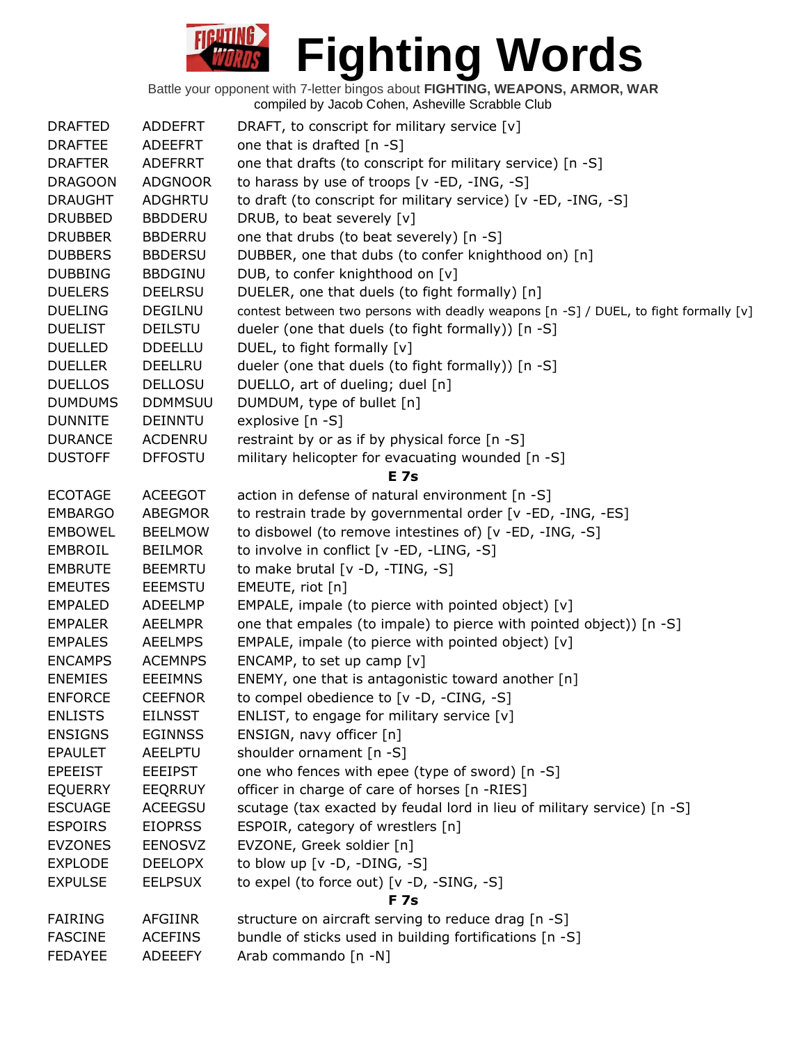| <b>DRAFTED</b> | <b>ADDEFRT</b> | DRAFT, to conscript for military service [v]                                         |
|----------------|----------------|--------------------------------------------------------------------------------------|
| <b>DRAFTEE</b> | <b>ADEEFRT</b> | one that is drafted [n -S]                                                           |
| <b>DRAFTER</b> | <b>ADEFRRT</b> | one that drafts (to conscript for military service) [n -S]                           |
| <b>DRAGOON</b> | <b>ADGNOOR</b> | to harass by use of troops [v -ED, -ING, -S]                                         |
| <b>DRAUGHT</b> | <b>ADGHRTU</b> | to draft (to conscript for military service) [v -ED, -ING, -S]                       |
| <b>DRUBBED</b> | <b>BBDDERU</b> | DRUB, to beat severely [v]                                                           |
| <b>DRUBBER</b> | <b>BBDERRU</b> | one that drubs (to beat severely) [n -S]                                             |
| <b>DUBBERS</b> | <b>BBDERSU</b> | DUBBER, one that dubs (to confer knighthood on) [n]                                  |
| <b>DUBBING</b> | <b>BBDGINU</b> | DUB, to confer knighthood on [v]                                                     |
| <b>DUELERS</b> | <b>DEELRSU</b> | DUELER, one that duels (to fight formally) [n]                                       |
| <b>DUELING</b> | <b>DEGILNU</b> | contest between two persons with deadly weapons [n -S] / DUEL, to fight formally [v] |
| <b>DUELIST</b> | <b>DEILSTU</b> | dueler (one that duels (to fight formally)) [n -S]                                   |
| <b>DUELLED</b> | <b>DDEELLU</b> | DUEL, to fight formally [v]                                                          |
| <b>DUELLER</b> | <b>DEELLRU</b> | dueler (one that duels (to fight formally)) [n -S]                                   |
| <b>DUELLOS</b> | <b>DELLOSU</b> | DUELLO, art of dueling; duel [n]                                                     |
| <b>DUMDUMS</b> | <b>DDMMSUU</b> | DUMDUM, type of bullet [n]                                                           |
| <b>DUNNITE</b> | <b>DEINNTU</b> | explosive [n -S]                                                                     |
| <b>DURANCE</b> | ACDENRU        | restraint by or as if by physical force [n -S]                                       |
| <b>DUSTOFF</b> | <b>DFFOSTU</b> | military helicopter for evacuating wounded [n -S]                                    |
|                |                | <b>E</b> 7s                                                                          |
| <b>ECOTAGE</b> | <b>ACEEGOT</b> | action in defense of natural environment [n -S]                                      |
| <b>EMBARGO</b> | <b>ABEGMOR</b> | to restrain trade by governmental order [v -ED, -ING, -ES]                           |
| <b>EMBOWEL</b> | <b>BEELMOW</b> | to disbowel (to remove intestines of) [v -ED, -ING, -S]                              |
| <b>EMBROIL</b> | <b>BEILMOR</b> | to involve in conflict [v -ED, -LING, -S]                                            |
| <b>EMBRUTE</b> | <b>BEEMRTU</b> | to make brutal [v -D, -TING, -S]                                                     |
| <b>EMEUTES</b> | <b>EEEMSTU</b> | EMEUTE, riot [n]                                                                     |
| <b>EMPALED</b> | <b>ADEELMP</b> | EMPALE, impale (to pierce with pointed object) [v]                                   |
| <b>EMPALER</b> | <b>AEELMPR</b> | one that empales (to impale) to pierce with pointed object)) [n -S]                  |
| <b>EMPALES</b> | <b>AEELMPS</b> | EMPALE, impale (to pierce with pointed object) [v]                                   |
| <b>ENCAMPS</b> | <b>ACEMNPS</b> | ENCAMP, to set up camp $[v]$                                                         |
| <b>ENEMIES</b> | <b>EEEIMNS</b> | ENEMY, one that is antagonistic toward another [n]                                   |
| <b>ENFORCE</b> | <b>CEEFNOR</b> | to compel obedience to [v -D, -CING, -S]                                             |
| <b>ENLISTS</b> | <b>EILNSST</b> | ENLIST, to engage for military service $[v]$                                         |
| <b>ENSIGNS</b> | <b>EGINNSS</b> | ENSIGN, navy officer [n]                                                             |
| <b>EPAULET</b> | <b>AEELPTU</b> | shoulder ornament [n -S]                                                             |
| <b>EPEEIST</b> | <b>EEEIPST</b> | one who fences with epee (type of sword) [n -S]                                      |
| <b>EQUERRY</b> | <b>EEQRRUY</b> | officer in charge of care of horses [n -RIES]                                        |
| <b>ESCUAGE</b> | <b>ACEEGSU</b> | scutage (tax exacted by feudal lord in lieu of military service) [n -S]              |
| <b>ESPOIRS</b> | <b>EIOPRSS</b> | ESPOIR, category of wrestlers [n]                                                    |
| <b>EVZONES</b> | <b>EENOSVZ</b> | EVZONE, Greek soldier [n]                                                            |
| <b>EXPLODE</b> | <b>DEELOPX</b> | to blow up $[v -D, -DING, -S]$                                                       |
| <b>EXPULSE</b> | <b>EELPSUX</b> | to expel (to force out) [v -D, -SING, -S]                                            |
|                |                | <b>F7s</b>                                                                           |
| <b>FAIRING</b> | <b>AFGIINR</b> | structure on aircraft serving to reduce drag [n -S]                                  |
| <b>FASCINE</b> | <b>ACEFINS</b> | bundle of sticks used in building fortifications [n -S]                              |
| <b>FEDAYEE</b> | <b>ADEEEFY</b> | Arab commando [n -N]                                                                 |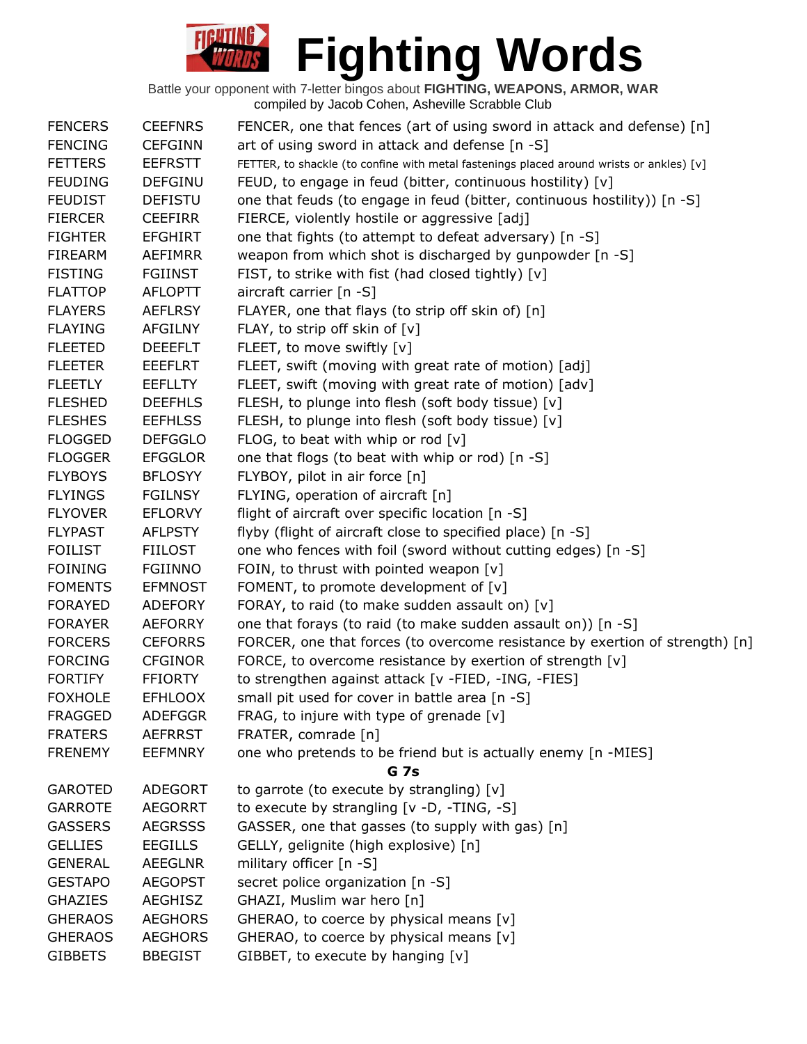| <b>FENCERS</b> | <b>CEEFNRS</b> | FENCER, one that fences (art of using sword in attack and defense) [n]                   |
|----------------|----------------|------------------------------------------------------------------------------------------|
| <b>FENCING</b> | <b>CEFGINN</b> | art of using sword in attack and defense [n -S]                                          |
| <b>FETTERS</b> | <b>EEFRSTT</b> | FETTER, to shackle (to confine with metal fastenings placed around wrists or ankles) [v] |
| <b>FEUDING</b> | <b>DEFGINU</b> | FEUD, to engage in feud (bitter, continuous hostility) [v]                               |
| <b>FEUDIST</b> | <b>DEFISTU</b> | one that feuds (to engage in feud (bitter, continuous hostility)) [n -S]                 |
| <b>FIERCER</b> | <b>CEEFIRR</b> | FIERCE, violently hostile or aggressive [adj]                                            |
| <b>FIGHTER</b> | <b>EFGHIRT</b> | one that fights (to attempt to defeat adversary) [n -S]                                  |
| <b>FIREARM</b> | AEFIMRR        | weapon from which shot is discharged by gunpowder [n -S]                                 |
| <b>FISTING</b> | <b>FGIINST</b> | FIST, to strike with fist (had closed tightly) [v]                                       |
| <b>FLATTOP</b> | <b>AFLOPTT</b> | aircraft carrier [n -S]                                                                  |
| <b>FLAYERS</b> | <b>AEFLRSY</b> | FLAYER, one that flays (to strip off skin of) [n]                                        |
| <b>FLAYING</b> | AFGILNY        | FLAY, to strip off skin of [v]                                                           |
| <b>FLEETED</b> | <b>DEEEFLT</b> | FLEET, to move swiftly [v]                                                               |
| <b>FLEETER</b> | EEEFLRT        | FLEET, swift (moving with great rate of motion) [adj]                                    |
| <b>FLEETLY</b> | <b>EEFLLTY</b> | FLEET, swift (moving with great rate of motion) [adv]                                    |
| <b>FLESHED</b> | <b>DEEFHLS</b> | FLESH, to plunge into flesh (soft body tissue) [v]                                       |
| <b>FLESHES</b> | <b>EEFHLSS</b> | FLESH, to plunge into flesh (soft body tissue) [v]                                       |
| <b>FLOGGED</b> | <b>DEFGGLO</b> | FLOG, to beat with whip or rod $[v]$                                                     |
| <b>FLOGGER</b> | <b>EFGGLOR</b> | one that flogs (to beat with whip or rod) [n -S]                                         |
| <b>FLYBOYS</b> | <b>BFLOSYY</b> | FLYBOY, pilot in air force [n]                                                           |
| <b>FLYINGS</b> | <b>FGILNSY</b> | FLYING, operation of aircraft [n]                                                        |
| <b>FLYOVER</b> | <b>EFLORVY</b> | flight of aircraft over specific location [n -S]                                         |
| <b>FLYPAST</b> | <b>AFLPSTY</b> | flyby (flight of aircraft close to specified place) [n -S]                               |
| <b>FOILIST</b> | <b>FIILOST</b> | one who fences with foil (sword without cutting edges) [n -S]                            |
| <b>FOINING</b> | <b>FGIINNO</b> | FOIN, to thrust with pointed weapon [v]                                                  |
| <b>FOMENTS</b> | <b>EFMNOST</b> | FOMENT, to promote development of [v]                                                    |
| <b>FORAYED</b> | <b>ADEFORY</b> | FORAY, to raid (to make sudden assault on) [v]                                           |
| <b>FORAYER</b> | <b>AEFORRY</b> | one that forays (to raid (to make sudden assault on)) [n -S]                             |
| <b>FORCERS</b> | <b>CEFORRS</b> | FORCER, one that forces (to overcome resistance by exertion of strength) [n]             |
| <b>FORCING</b> | <b>CFGINOR</b> | FORCE, to overcome resistance by exertion of strength [v]                                |
| <b>FORTIFY</b> | <b>FFIORTY</b> | to strengthen against attack [v -FIED, -ING, -FIES]                                      |
| <b>FOXHOLE</b> | <b>EFHLOOX</b> | small pit used for cover in battle area [n -S]                                           |
| <b>FRAGGED</b> | <b>ADEFGGR</b> | FRAG, to injure with type of grenade $[v]$                                               |
| <b>FRATERS</b> | <b>AEFRRST</b> | FRATER, comrade [n]                                                                      |
| <b>FRENEMY</b> | <b>EEFMNRY</b> | one who pretends to be friend but is actually enemy [n -MIES]                            |
|                |                | <b>G</b> 7s                                                                              |
| <b>GAROTED</b> | ADEGORT        | to garrote (to execute by strangling) $[v]$                                              |
| <b>GARROTE</b> | <b>AEGORRT</b> | to execute by strangling [v -D, -TING, -S]                                               |
| <b>GASSERS</b> | <b>AEGRSSS</b> | GASSER, one that gasses (to supply with gas) [n]                                         |
| <b>GELLIES</b> | <b>EEGILLS</b> | GELLY, gelignite (high explosive) [n]                                                    |
| <b>GENERAL</b> | <b>AEEGLNR</b> | military officer [n -S]                                                                  |
| <b>GESTAPO</b> | <b>AEGOPST</b> | secret police organization [n -S]                                                        |
| <b>GHAZIES</b> | <b>AEGHISZ</b> | GHAZI, Muslim war hero [n]                                                               |
| <b>GHERAOS</b> | <b>AEGHORS</b> | GHERAO, to coerce by physical means [v]                                                  |
| <b>GHERAOS</b> | <b>AEGHORS</b> | GHERAO, to coerce by physical means [v]                                                  |
| <b>GIBBETS</b> | <b>BBEGIST</b> | GIBBET, to execute by hanging [v]                                                        |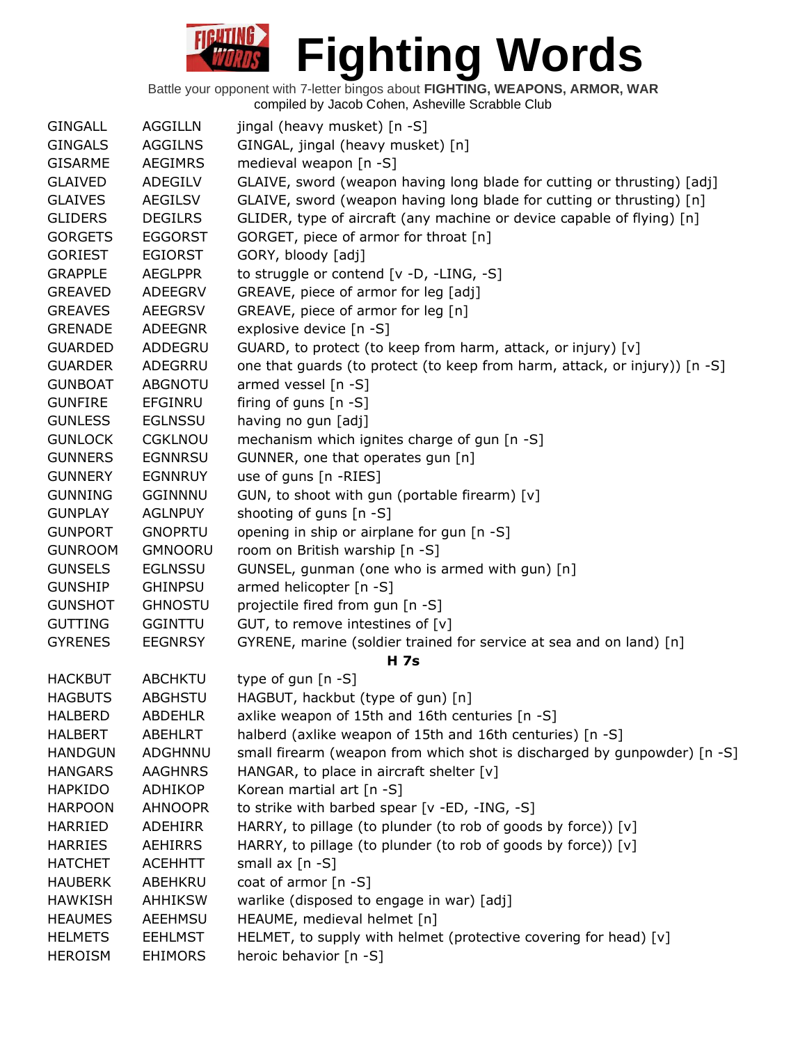| <b>GINGALL</b> | <b>AGGILLN</b> | jingal (heavy musket) [n -S]                                                       |
|----------------|----------------|------------------------------------------------------------------------------------|
| <b>GINGALS</b> | <b>AGGILNS</b> | GINGAL, jingal (heavy musket) [n]                                                  |
| <b>GISARME</b> | <b>AEGIMRS</b> | medieval weapon [n -S]                                                             |
| <b>GLAIVED</b> | ADEGILV        | GLAIVE, sword (weapon having long blade for cutting or thrusting) [adj]            |
| <b>GLAIVES</b> | <b>AEGILSV</b> | GLAIVE, sword (weapon having long blade for cutting or thrusting) [n]              |
| <b>GLIDERS</b> | <b>DEGILRS</b> | GLIDER, type of aircraft (any machine or device capable of flying) [n]             |
| <b>GORGETS</b> | <b>EGGORST</b> | GORGET, piece of armor for throat [n]                                              |
| <b>GORIEST</b> | <b>EGIORST</b> | GORY, bloody [adj]                                                                 |
| <b>GRAPPLE</b> | <b>AEGLPPR</b> | to struggle or contend [v -D, -LING, -S]                                           |
| <b>GREAVED</b> | ADEEGRV        | GREAVE, piece of armor for leg [adj]                                               |
| <b>GREAVES</b> | <b>AEEGRSV</b> | GREAVE, piece of armor for leg [n]                                                 |
| <b>GRENADE</b> | <b>ADEEGNR</b> | explosive device [n -S]                                                            |
| <b>GUARDED</b> | ADDEGRU        | GUARD, to protect (to keep from harm, attack, or injury) [v]                       |
| <b>GUARDER</b> | ADEGRRU        | one that guards (to protect (to keep from harm, attack, or injury)) [n -S]         |
| <b>GUNBOAT</b> | <b>ABGNOTU</b> | armed vessel [n -S]                                                                |
| <b>GUNFIRE</b> | <b>EFGINRU</b> | firing of guns $[n -S]$                                                            |
| <b>GUNLESS</b> | <b>EGLNSSU</b> | having no gun [adj]                                                                |
| <b>GUNLOCK</b> | <b>CGKLNOU</b> | mechanism which ignites charge of gun [n -S]                                       |
| <b>GUNNERS</b> | <b>EGNNRSU</b> | GUNNER, one that operates gun [n]                                                  |
|                |                |                                                                                    |
| <b>GUNNERY</b> | <b>EGNNRUY</b> | use of guns [n -RIES]                                                              |
| <b>GUNNING</b> | <b>GGINNNU</b> | GUN, to shoot with gun (portable firearm) [v]                                      |
| <b>GUNPLAY</b> | <b>AGLNPUY</b> | shooting of guns [n -S]                                                            |
| <b>GUNPORT</b> | <b>GNOPRTU</b> | opening in ship or airplane for gun [n -S]                                         |
| <b>GUNROOM</b> | <b>GMNOORU</b> | room on British warship [n -S]                                                     |
| <b>GUNSELS</b> | <b>EGLNSSU</b> | GUNSEL, gunman (one who is armed with gun) [n]                                     |
| <b>GUNSHIP</b> | <b>GHINPSU</b> | armed helicopter [n -S]                                                            |
| <b>GUNSHOT</b> | <b>GHNOSTU</b> | projectile fired from gun [n -S]                                                   |
| <b>GUTTING</b> | <b>GGINTTU</b> | GUT, to remove intestines of [v]                                                   |
| <b>GYRENES</b> | <b>EEGNRSY</b> | GYRENE, marine (soldier trained for service at sea and on land) [n]<br><b>H</b> 7s |
| <b>HACKBUT</b> | <b>ABCHKTU</b> | type of gun $[n - S]$                                                              |
| <b>HAGBUTS</b> | ABGHSTU        | HAGBUT, hackbut (type of gun) [n]                                                  |
| HALBERD        | <b>ABDEHLR</b> | axlike weapon of 15th and 16th centuries [n -S]                                    |
| <b>HALBERT</b> | ABEHLRT        | halberd (axlike weapon of 15th and 16th centuries) [n -S]                          |
| <b>HANDGUN</b> | ADGHNNU        | small firearm (weapon from which shot is discharged by gunpowder) [n -S]           |
| <b>HANGARS</b> | <b>AAGHNRS</b> | HANGAR, to place in aircraft shelter $[v]$                                         |
| <b>HAPKIDO</b> | ADHIKOP        | Korean martial art [n -S]                                                          |
| <b>HARPOON</b> | <b>AHNOOPR</b> | to strike with barbed spear [v -ED, -ING, -S]                                      |
| <b>HARRIED</b> | <b>ADEHIRR</b> | HARRY, to pillage (to plunder (to rob of goods by force)) [v]                      |
| <b>HARRIES</b> | AEHIRRS        | HARRY, to pillage (to plunder (to rob of goods by force)) [v]                      |
| <b>HATCHET</b> | <b>ACEHHTT</b> | small $ax [n -S]$                                                                  |
| <b>HAUBERK</b> | ABEHKRU        | coat of armor [n -S]                                                               |
| <b>HAWKISH</b> | <b>AHHIKSW</b> | warlike (disposed to engage in war) [adj]                                          |
| <b>HEAUMES</b> | AEEHMSU        | HEAUME, medieval helmet [n]                                                        |
| <b>HELMETS</b> | <b>EEHLMST</b> | HELMET, to supply with helmet (protective covering for head) [v]                   |
|                |                |                                                                                    |
| <b>HEROISM</b> | <b>EHIMORS</b> | heroic behavior [n -S]                                                             |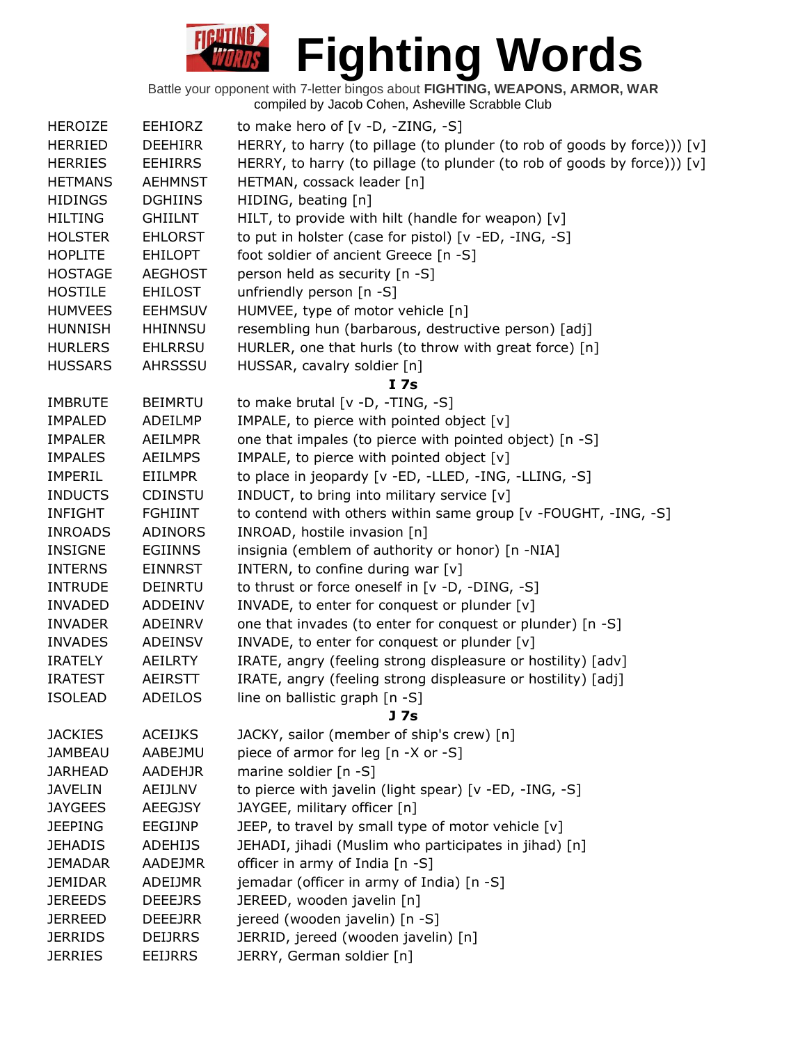| <b>HEROIZE</b> | <b>EEHIORZ</b> | to make hero of $[v -D, -ZING, -S]$                                      |
|----------------|----------------|--------------------------------------------------------------------------|
| <b>HERRIED</b> | <b>DEEHIRR</b> | HERRY, to harry (to pillage (to plunder (to rob of goods by force))) [v] |
| <b>HERRIES</b> | <b>EEHIRRS</b> | HERRY, to harry (to pillage (to plunder (to rob of goods by force))) [v] |
| <b>HETMANS</b> | <b>AEHMNST</b> | HETMAN, cossack leader [n]                                               |
| <b>HIDINGS</b> | <b>DGHIINS</b> | HIDING, beating [n]                                                      |
| <b>HILTING</b> | <b>GHIILNT</b> | HILT, to provide with hilt (handle for weapon) [v]                       |
| <b>HOLSTER</b> | <b>EHLORST</b> | to put in holster (case for pistol) [v -ED, -ING, -S]                    |
| <b>HOPLITE</b> | <b>EHILOPT</b> | foot soldier of ancient Greece [n -S]                                    |
| <b>HOSTAGE</b> | <b>AEGHOST</b> | person held as security [n -S]                                           |
| <b>HOSTILE</b> | <b>EHILOST</b> | unfriendly person [n -S]                                                 |
| <b>HUMVEES</b> | <b>EEHMSUV</b> | HUMVEE, type of motor vehicle [n]                                        |
| <b>HUNNISH</b> | <b>HHINNSU</b> | resembling hun (barbarous, destructive person) [adj]                     |
| <b>HURLERS</b> | <b>EHLRRSU</b> | HURLER, one that hurls (to throw with great force) [n]                   |
| <b>HUSSARS</b> | AHRSSSU        | HUSSAR, cavalry soldier [n]                                              |
|                |                | <b>I</b> 7s                                                              |
| <b>IMBRUTE</b> | <b>BEIMRTU</b> | to make brutal [v -D, -TING, -S]                                         |
| <b>IMPALED</b> | <b>ADEILMP</b> | IMPALE, to pierce with pointed object [v]                                |
| <b>IMPALER</b> | <b>AEILMPR</b> | one that impales (to pierce with pointed object) [n -S]                  |
| <b>IMPALES</b> | <b>AEILMPS</b> | IMPALE, to pierce with pointed object [v]                                |
| <b>IMPERIL</b> | <b>EIILMPR</b> | to place in jeopardy [v -ED, -LLED, -ING, -LLING, -S]                    |
| <b>INDUCTS</b> | <b>CDINSTU</b> | INDUCT, to bring into military service [v]                               |
| <b>INFIGHT</b> | <b>FGHIINT</b> | to contend with others within same group [v -FOUGHT, -ING, -S]           |
| <b>INROADS</b> | <b>ADINORS</b> | INROAD, hostile invasion [n]                                             |
| <b>INSIGNE</b> | <b>EGIINNS</b> | insignia (emblem of authority or honor) [n -NIA]                         |
| <b>INTERNS</b> | <b>EINNRST</b> | INTERN, to confine during war [v]                                        |
| <b>INTRUDE</b> | <b>DEINRTU</b> | to thrust or force oneself in [v -D, -DING, -S]                          |
| <b>INVADED</b> | ADDEINV        | INVADE, to enter for conquest or plunder [v]                             |
| <b>INVADER</b> | ADEINRV        | one that invades (to enter for conquest or plunder) [n -S]               |
| <b>INVADES</b> | <b>ADEINSV</b> | INVADE, to enter for conquest or plunder [v]                             |
| <b>IRATELY</b> | AEILRTY        | IRATE, angry (feeling strong displeasure or hostility) [adv]             |
| <b>IRATEST</b> | <b>AEIRSTT</b> | IRATE, angry (feeling strong displeasure or hostility) [adj]             |
| <b>ISOLEAD</b> | <b>ADEILOS</b> | line on ballistic graph [n -S]                                           |
|                |                | J 7s                                                                     |
| <b>JACKIES</b> | <b>ACEIJKS</b> | JACKY, sailor (member of ship's crew) [n]                                |
| <b>JAMBEAU</b> | AABEJMU        | piece of armor for leg [n -X or -S]                                      |
| <b>JARHEAD</b> | <b>AADEHJR</b> | marine soldier [n -S]                                                    |
| <b>JAVELIN</b> | AEIJLNV        | to pierce with javelin (light spear) [v -ED, -ING, -S]                   |
| <b>JAYGEES</b> | <b>AEEGJSY</b> | JAYGEE, military officer [n]                                             |
| <b>JEEPING</b> | EEGIJNP        | JEEP, to travel by small type of motor vehicle [v]                       |
| <b>JEHADIS</b> | <b>ADEHIJS</b> | JEHADI, jihadi (Muslim who participates in jihad) [n]                    |
| <b>JEMADAR</b> | <b>AADEJMR</b> | officer in army of India [n -S]                                          |
| <b>JEMIDAR</b> | ADEIJMR        | jemadar (officer in army of India) [n -S]                                |
| <b>JEREEDS</b> | <b>DEEEJRS</b> | JEREED, wooden javelin [n]                                               |
| <b>JERREED</b> | <b>DEEEJRR</b> | jereed (wooden javelin) [n -S]                                           |
| <b>JERRIDS</b> | <b>DEIJRRS</b> | JERRID, jereed (wooden javelin) [n]                                      |
| <b>JERRIES</b> | <b>EEIJRRS</b> | JERRY, German soldier [n]                                                |
|                |                |                                                                          |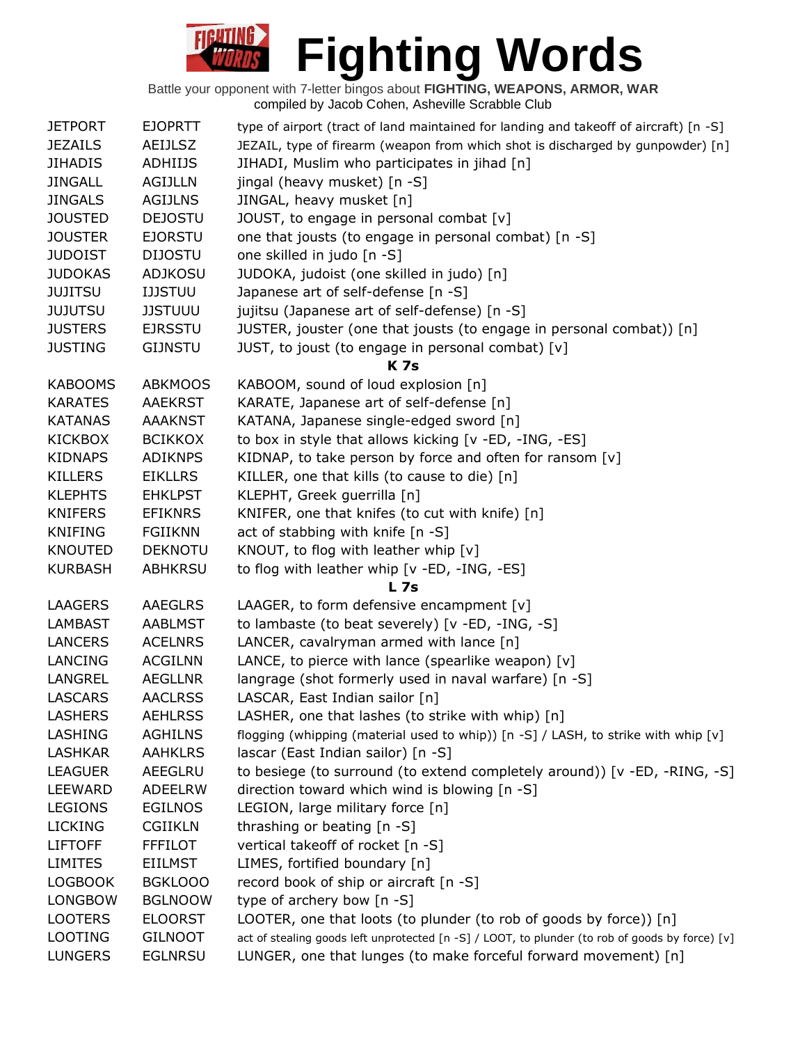

| <b>JETPORT</b> | <b>EJOPRTT</b> | type of airport (tract of land maintained for landing and takeoff of aircraft) [n -S]           |
|----------------|----------------|-------------------------------------------------------------------------------------------------|
| <b>JEZAILS</b> | <b>AEIJLSZ</b> | JEZAIL, type of firearm (weapon from which shot is discharged by gunpowder) [n]                 |
| <b>JIHADIS</b> | ADHIIJS        | JIHADI, Muslim who participates in jihad [n]                                                    |
| <b>JINGALL</b> | <b>AGIJLLN</b> | jingal (heavy musket) [n -S]                                                                    |
| <b>JINGALS</b> | <b>AGIJLNS</b> | JINGAL, heavy musket [n]                                                                        |
| <b>JOUSTED</b> | <b>DEJOSTU</b> | JOUST, to engage in personal combat [v]                                                         |
| <b>JOUSTER</b> | <b>EJORSTU</b> | one that jousts (to engage in personal combat) [n -S]                                           |
| <b>JUDOIST</b> | <b>DIJOSTU</b> | one skilled in judo [n -S]                                                                      |
| <b>JUDOKAS</b> | <b>ADJKOSU</b> | JUDOKA, judoist (one skilled in judo) [n]                                                       |
| <b>JUJITSU</b> | <b>IJJSTUU</b> | Japanese art of self-defense [n -S]                                                             |
| <b>JUJUTSU</b> | <b>JJSTUUU</b> | jujitsu (Japanese art of self-defense) [n -S]                                                   |
| <b>JUSTERS</b> | <b>EJRSSTU</b> | JUSTER, jouster (one that jousts (to engage in personal combat)) [n]                            |
| <b>JUSTING</b> | <b>GIJNSTU</b> | JUST, to joust (to engage in personal combat) [v]<br><b>K</b> 7s                                |
| <b>KABOOMS</b> | <b>ABKMOOS</b> | KABOOM, sound of loud explosion [n]                                                             |
| <b>KARATES</b> | <b>AAEKRST</b> | KARATE, Japanese art of self-defense [n]                                                        |
| <b>KATANAS</b> | <b>AAAKNST</b> | KATANA, Japanese single-edged sword [n]                                                         |
| <b>KICKBOX</b> | <b>BCIKKOX</b> | to box in style that allows kicking [v -ED, -ING, -ES]                                          |
| <b>KIDNAPS</b> | <b>ADIKNPS</b> | KIDNAP, to take person by force and often for ransom [v]                                        |
| <b>KILLERS</b> | <b>EIKLLRS</b> | KILLER, one that kills (to cause to die) [n]                                                    |
| <b>KLEPHTS</b> | <b>EHKLPST</b> | KLEPHT, Greek guerrilla [n]                                                                     |
| <b>KNIFERS</b> | <b>EFIKNRS</b> | KNIFER, one that knifes (to cut with knife) [n]                                                 |
| <b>KNIFING</b> | <b>FGIIKNN</b> | act of stabbing with knife [n -S]                                                               |
| <b>KNOUTED</b> | <b>DEKNOTU</b> | KNOUT, to flog with leather whip [v]                                                            |
| <b>KURBASH</b> | <b>ABHKRSU</b> | to flog with leather whip [v -ED, -ING, -ES]                                                    |
|                |                | <b>L</b> 7s                                                                                     |
| <b>LAAGERS</b> | <b>AAEGLRS</b> | LAAGER, to form defensive encampment [v]                                                        |
| <b>LAMBAST</b> | <b>AABLMST</b> | to lambaste (to beat severely) [v -ED, -ING, -S]                                                |
| <b>LANCERS</b> | <b>ACELNRS</b> | LANCER, cavalryman armed with lance [n]                                                         |
| LANCING        | <b>ACGILNN</b> | LANCE, to pierce with lance (spearlike weapon) $[v]$                                            |
| LANGREL        | <b>AEGLLNR</b> | langrage (shot formerly used in naval warfare) [n -S]                                           |
| LASCARS        | <b>AACLRSS</b> | LASCAR, East Indian sailor [n]                                                                  |
| <b>LASHERS</b> | <b>AEHLRSS</b> | LASHER, one that lashes (to strike with whip) [n]                                               |
| <b>LASHING</b> | <b>AGHILNS</b> | flogging (whipping (material used to whip)) [n -S] / LASH, to strike with whip [v]              |
| <b>LASHKAR</b> | <b>AAHKLRS</b> | lascar (East Indian sailor) [n -S]                                                              |
| <b>LEAGUER</b> | AEEGLRU        | to besiege (to surround (to extend completely around)) [v -ED, -RING, -S]                       |
| <b>LEEWARD</b> | <b>ADEELRW</b> | direction toward which wind is blowing [n -S]                                                   |
| <b>LEGIONS</b> | <b>EGILNOS</b> | LEGION, large military force [n]                                                                |
| <b>LICKING</b> | <b>CGIIKLN</b> | thrashing or beating [n -S]                                                                     |
| <b>LIFTOFF</b> | <b>FFFILOT</b> | vertical takeoff of rocket [n -S]                                                               |
| <b>LIMITES</b> | <b>EIILMST</b> | LIMES, fortified boundary [n]                                                                   |
| <b>LOGBOOK</b> | <b>BGKLOOO</b> | record book of ship or aircraft [n -S]                                                          |
| <b>LONGBOW</b> | <b>BGLNOOW</b> | type of archery bow [n -S]                                                                      |
| <b>LOOTERS</b> | <b>ELOORST</b> | LOOTER, one that loots (to plunder (to rob of goods by force)) [n]                              |
| <b>LOOTING</b> | <b>GILNOOT</b> | act of stealing goods left unprotected [n -S] / LOOT, to plunder (to rob of goods by force) [v] |
| <b>LUNGERS</b> | <b>EGLNRSU</b> | LUNGER, one that lunges (to make forceful forward movement) [n]                                 |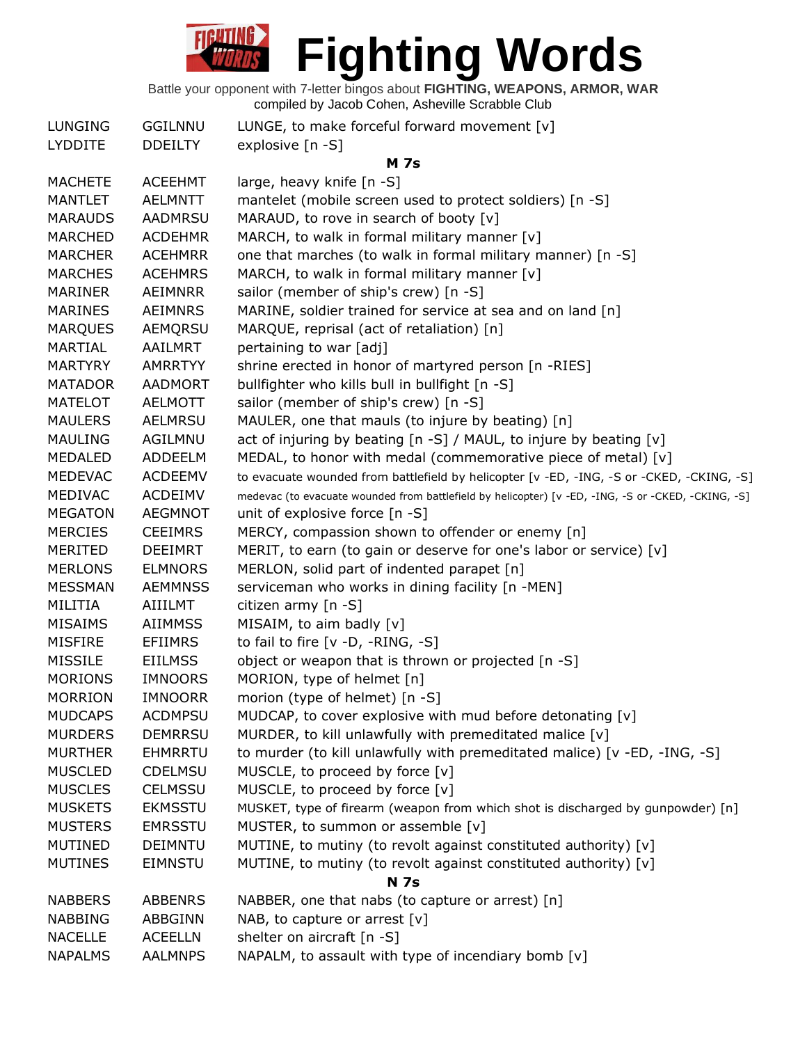| <b>LUNGING</b> | <b>GGILNNU</b> | LUNGE, to make forceful forward movement $[v]$                                                      |
|----------------|----------------|-----------------------------------------------------------------------------------------------------|
| <b>LYDDITE</b> | <b>DDEILTY</b> | explosive [n -S]                                                                                    |
|                |                | <b>M</b> 7s                                                                                         |
| <b>MACHETE</b> | <b>ACEEHMT</b> | large, heavy knife [n -S]                                                                           |
| <b>MANTLET</b> | <b>AELMNTT</b> | mantelet (mobile screen used to protect soldiers) [n -S]                                            |
| <b>MARAUDS</b> | AADMRSU        | MARAUD, to rove in search of booty [v]                                                              |
| <b>MARCHED</b> | <b>ACDEHMR</b> | MARCH, to walk in formal military manner [v]                                                        |
| <b>MARCHER</b> | <b>ACEHMRR</b> | one that marches (to walk in formal military manner) [n -S]                                         |
| <b>MARCHES</b> | <b>ACEHMRS</b> | MARCH, to walk in formal military manner [v]                                                        |
| MARINER        | <b>AEIMNRR</b> | sailor (member of ship's crew) [n -S]                                                               |
| <b>MARINES</b> | <b>AEIMNRS</b> | MARINE, soldier trained for service at sea and on land [n]                                          |
| <b>MARQUES</b> | AEMQRSU        | MARQUE, reprisal (act of retaliation) [n]                                                           |
| <b>MARTIAL</b> | AAILMRT        | pertaining to war [adj]                                                                             |
| <b>MARTYRY</b> | <b>AMRRTYY</b> | shrine erected in honor of martyred person [n -RIES]                                                |
| <b>MATADOR</b> | <b>AADMORT</b> | bullfighter who kills bull in bullfight [n -S]                                                      |
| <b>MATELOT</b> | <b>AELMOTT</b> | sailor (member of ship's crew) [n -S]                                                               |
| <b>MAULERS</b> | <b>AELMRSU</b> | MAULER, one that mauls (to injure by beating) [n]                                                   |
| <b>MAULING</b> | <b>AGILMNU</b> | act of injuring by beating $[n - S] / M AUL$ , to injure by beating $[v]$                           |
| <b>MEDALED</b> | ADDEELM        | MEDAL, to honor with medal (commemorative piece of metal) [v]                                       |
| <b>MEDEVAC</b> | <b>ACDEEMV</b> | to evacuate wounded from battlefield by helicopter [v -ED, -ING, -S or -CKED, -CKING, -S]           |
| <b>MEDIVAC</b> | <b>ACDEIMV</b> | medevac (to evacuate wounded from battlefield by helicopter) [v -ED, -ING, -S or -CKED, -CKING, -S] |
| <b>MEGATON</b> | <b>AEGMNOT</b> | unit of explosive force [n -S]                                                                      |
| <b>MERCIES</b> | <b>CEEIMRS</b> | MERCY, compassion shown to offender or enemy [n]                                                    |
| <b>MERITED</b> | <b>DEEIMRT</b> | MERIT, to earn (to gain or deserve for one's labor or service) [v]                                  |
| <b>MERLONS</b> | <b>ELMNORS</b> | MERLON, solid part of indented parapet [n]                                                          |
| <b>MESSMAN</b> | <b>AEMMNSS</b> | serviceman who works in dining facility [n -MEN]                                                    |
| MILITIA        | <b>AIIILMT</b> | citizen army [n -S]                                                                                 |
| <b>MISAIMS</b> | <b>AIIMMSS</b> | MISAIM, to aim badly [v]                                                                            |
| <b>MISFIRE</b> | <b>EFIIMRS</b> | to fail to fire [v -D, -RING, -S]                                                                   |
| <b>MISSILE</b> | <b>EIILMSS</b> | object or weapon that is thrown or projected [n -S]                                                 |
| <b>MORIONS</b> | <b>IMNOORS</b> | MORION, type of helmet [n]                                                                          |
| <b>MORRION</b> | <b>IMNOORR</b> | morion (type of helmet) [n -S]                                                                      |
| <b>MUDCAPS</b> | <b>ACDMPSU</b> | MUDCAP, to cover explosive with mud before detonating [v]                                           |
| <b>MURDERS</b> | <b>DEMRRSU</b> | MURDER, to kill unlawfully with premeditated malice [v]                                             |
| <b>MURTHER</b> | <b>EHMRRTU</b> | to murder (to kill unlawfully with premeditated malice) [v -ED, -ING, -S]                           |
| <b>MUSCLED</b> | <b>CDELMSU</b> | MUSCLE, to proceed by force [v]                                                                     |
| <b>MUSCLES</b> | <b>CELMSSU</b> | MUSCLE, to proceed by force [v]                                                                     |
| <b>MUSKETS</b> | <b>EKMSSTU</b> | MUSKET, type of firearm (weapon from which shot is discharged by gunpowder) [n]                     |
| <b>MUSTERS</b> | <b>EMRSSTU</b> | MUSTER, to summon or assemble [v]                                                                   |
| <b>MUTINED</b> | <b>DEIMNTU</b> | MUTINE, to mutiny (to revolt against constituted authority) [v]                                     |
| <b>MUTINES</b> | <b>EIMNSTU</b> | MUTINE, to mutiny (to revolt against constituted authority) [v]                                     |
|                |                | <b>N</b> 7s                                                                                         |
| <b>NABBERS</b> | <b>ABBENRS</b> | NABBER, one that nabs (to capture or arrest) [n]                                                    |
| <b>NABBING</b> | ABBGINN        | NAB, to capture or arrest $[v]$                                                                     |
| <b>NACELLE</b> | <b>ACEELLN</b> | shelter on aircraft [n -S]                                                                          |
| <b>NAPALMS</b> | <b>AALMNPS</b> | NAPALM, to assault with type of incendiary bomb [v]                                                 |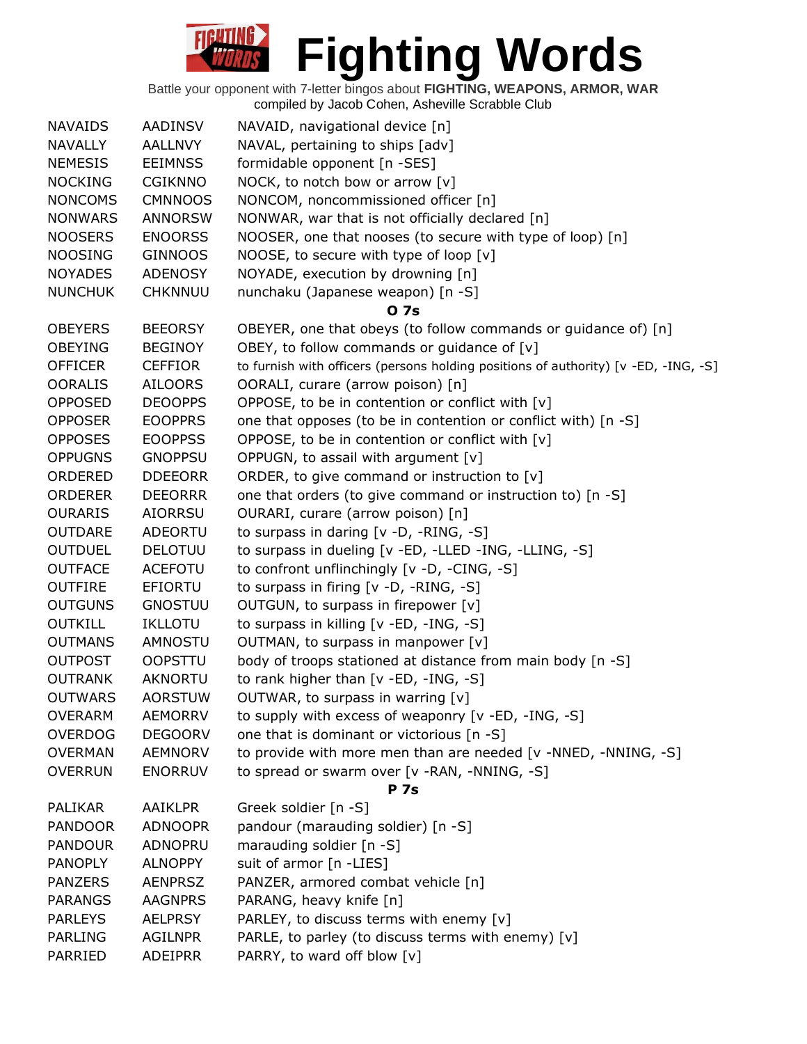| <b>NAVAIDS</b> | <b>AADINSV</b> | NAVAID, navigational device [n]                                                     |
|----------------|----------------|-------------------------------------------------------------------------------------|
| <b>NAVALLY</b> | <b>AALLNVY</b> | NAVAL, pertaining to ships [adv]                                                    |
| <b>NEMESIS</b> | <b>EEIMNSS</b> | formidable opponent [n -SES]                                                        |
| <b>NOCKING</b> | <b>CGIKNNO</b> | NOCK, to notch bow or arrow [v]                                                     |
| <b>NONCOMS</b> | <b>CMNNOOS</b> | NONCOM, noncommissioned officer [n]                                                 |
| <b>NONWARS</b> | <b>ANNORSW</b> | NONWAR, war that is not officially declared [n]                                     |
| <b>NOOSERS</b> | <b>ENOORSS</b> | NOOSER, one that nooses (to secure with type of loop) [n]                           |
| <b>NOOSING</b> | <b>GINNOOS</b> | NOOSE, to secure with type of loop [v]                                              |
| <b>NOYADES</b> | <b>ADENOSY</b> | NOYADE, execution by drowning [n]                                                   |
| <b>NUNCHUK</b> | <b>CHKNNUU</b> | nunchaku (Japanese weapon) [n -S]                                                   |
|                |                | <b>07s</b>                                                                          |
| <b>OBEYERS</b> | <b>BEEORSY</b> | OBEYER, one that obeys (to follow commands or guidance of) [n]                      |
| <b>OBEYING</b> | <b>BEGINOY</b> | OBEY, to follow commands or guidance of [v]                                         |
| <b>OFFICER</b> | <b>CEFFIOR</b> | to furnish with officers (persons holding positions of authority) [v -ED, -ING, -S] |
| <b>OORALIS</b> | <b>AILOORS</b> | OORALI, curare (arrow poison) [n]                                                   |
| <b>OPPOSED</b> | <b>DEOOPPS</b> | OPPOSE, to be in contention or conflict with [v]                                    |
| <b>OPPOSER</b> | <b>EOOPPRS</b> | one that opposes (to be in contention or conflict with) [n -S]                      |
| <b>OPPOSES</b> | <b>EOOPPSS</b> | OPPOSE, to be in contention or conflict with [v]                                    |
| <b>OPPUGNS</b> | <b>GNOPPSU</b> | OPPUGN, to assail with argument [v]                                                 |
| ORDERED        | <b>DDEEORR</b> | ORDER, to give command or instruction to [v]                                        |
| <b>ORDERER</b> | <b>DEEORRR</b> | one that orders (to give command or instruction to) [n -S]                          |
| <b>OURARIS</b> | <b>AIORRSU</b> | OURARI, curare (arrow poison) [n]                                                   |
| <b>OUTDARE</b> | <b>ADEORTU</b> | to surpass in daring [v -D, -RING, -S]                                              |
| <b>OUTDUEL</b> | <b>DELOTUU</b> | to surpass in dueling [v -ED, -LLED -ING, -LLING, -S]                               |
| <b>OUTFACE</b> | <b>ACEFOTU</b> | to confront unflinchingly [v -D, -CING, -S]                                         |
| <b>OUTFIRE</b> | EFIORTU        | to surpass in firing $[v -D, -RING, -S]$                                            |
| <b>OUTGUNS</b> | <b>GNOSTUU</b> | OUTGUN, to surpass in firepower [v]                                                 |
| <b>OUTKILL</b> | <b>IKLLOTU</b> | to surpass in killing [v -ED, -ING, -S]                                             |
| <b>OUTMANS</b> | AMNOSTU        | OUTMAN, to surpass in manpower [v]                                                  |
| <b>OUTPOST</b> | <b>OOPSTTU</b> | body of troops stationed at distance from main body [n -S]                          |
| <b>OUTRANK</b> | <b>AKNORTU</b> | to rank higher than [v -ED, -ING, -S]                                               |
| <b>OUTWARS</b> | <b>AORSTUW</b> | OUTWAR, to surpass in warring [v]                                                   |
| <b>OVERARM</b> | <b>AEMORRV</b> | to supply with excess of weaponry [v -ED, -ING, -S]                                 |
| <b>OVERDOG</b> | <b>DEGOORV</b> | one that is dominant or victorious [n -S]                                           |
| <b>OVERMAN</b> | <b>AEMNORV</b> | to provide with more men than are needed [v -NNED, -NNING, -S]                      |
| <b>OVERRUN</b> | <b>ENORRUV</b> | to spread or swarm over [v -RAN, -NNING, -S]                                        |
|                |                | <b>P</b> 7s                                                                         |
| <b>PALIKAR</b> | AAIKLPR        | Greek soldier [n -S]                                                                |
| <b>PANDOOR</b> | <b>ADNOOPR</b> | pandour (marauding soldier) [n -S]                                                  |
| <b>PANDOUR</b> | ADNOPRU        | marauding soldier [n -S]                                                            |
| <b>PANOPLY</b> | <b>ALNOPPY</b> | suit of armor [n -LIES]                                                             |
| <b>PANZERS</b> | <b>AENPRSZ</b> | PANZER, armored combat vehicle [n]                                                  |
| <b>PARANGS</b> | <b>AAGNPRS</b> | PARANG, heavy knife [n]                                                             |
| <b>PARLEYS</b> | <b>AELPRSY</b> | PARLEY, to discuss terms with enemy [v]                                             |
| <b>PARLING</b> | <b>AGILNPR</b> | PARLE, to parley (to discuss terms with enemy) [v]                                  |
| PARRIED        | <b>ADEIPRR</b> | PARRY, to ward off blow [v]                                                         |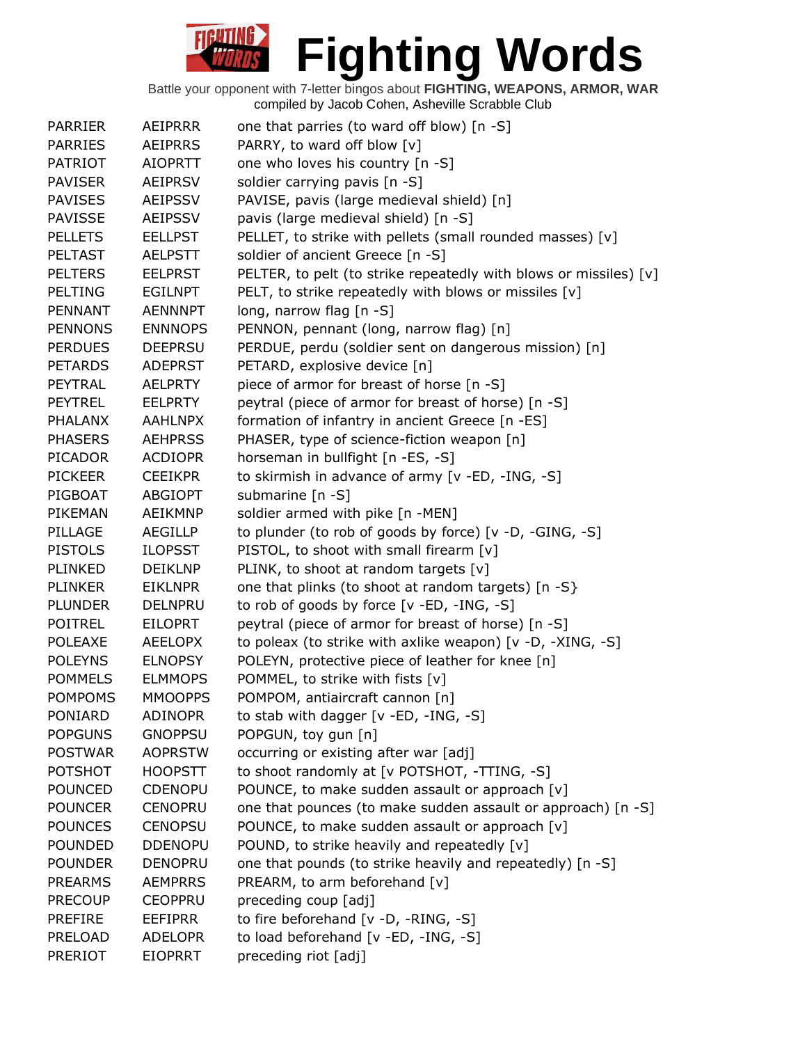| <b>PARRIER</b> | <b>AEIPRRR</b> | one that parries (to ward off blow) [n -S]                        |
|----------------|----------------|-------------------------------------------------------------------|
| <b>PARRIES</b> | <b>AEIPRRS</b> | PARRY, to ward off blow [v]                                       |
| <b>PATRIOT</b> | <b>AIOPRTT</b> | one who loves his country [n -S]                                  |
| <b>PAVISER</b> | <b>AEIPRSV</b> | soldier carrying pavis [n -S]                                     |
| <b>PAVISES</b> | <b>AEIPSSV</b> | PAVISE, pavis (large medieval shield) [n]                         |
| <b>PAVISSE</b> | <b>AEIPSSV</b> | pavis (large medieval shield) [n -S]                              |
| <b>PELLETS</b> | <b>EELLPST</b> | PELLET, to strike with pellets (small rounded masses) [v]         |
| <b>PELTAST</b> | <b>AELPSTT</b> | soldier of ancient Greece [n -S]                                  |
| <b>PELTERS</b> | <b>EELPRST</b> | PELTER, to pelt (to strike repeatedly with blows or missiles) [v] |
| <b>PELTING</b> | <b>EGILNPT</b> | PELT, to strike repeatedly with blows or missiles [v]             |
| PENNANT        | <b>AENNNPT</b> | long, narrow flag [n -S]                                          |
| <b>PENNONS</b> | <b>ENNNOPS</b> | PENNON, pennant (long, narrow flag) [n]                           |
| <b>PERDUES</b> | <b>DEEPRSU</b> | PERDUE, perdu (soldier sent on dangerous mission) [n]             |
| <b>PETARDS</b> | <b>ADEPRST</b> | PETARD, explosive device [n]                                      |
| PEYTRAL        | <b>AELPRTY</b> | piece of armor for breast of horse [n -S]                         |
| <b>PEYTREL</b> | <b>EELPRTY</b> | peytral (piece of armor for breast of horse) [n -S]               |
| <b>PHALANX</b> | <b>AAHLNPX</b> | formation of infantry in ancient Greece [n -ES]                   |
| <b>PHASERS</b> | <b>AEHPRSS</b> | PHASER, type of science-fiction weapon [n]                        |
| <b>PICADOR</b> | <b>ACDIOPR</b> | horseman in bullfight [n -ES, -S]                                 |
| <b>PICKEER</b> | <b>CEEIKPR</b> | to skirmish in advance of army [v -ED, -ING, -S]                  |
| PIGBOAT        | <b>ABGIOPT</b> | submarine [n -S]                                                  |
| PIKEMAN        | <b>AEIKMNP</b> | soldier armed with pike [n -MEN]                                  |
| PILLAGE        | <b>AEGILLP</b> | to plunder (to rob of goods by force) [v -D, -GING, -S]           |
| <b>PISTOLS</b> | <b>ILOPSST</b> | PISTOL, to shoot with small firearm [v]                           |
| <b>PLINKED</b> | <b>DEIKLNP</b> | PLINK, to shoot at random targets [v]                             |
| <b>PLINKER</b> | <b>EIKLNPR</b> | one that plinks (to shoot at random targets) [n -S}               |
| <b>PLUNDER</b> | <b>DELNPRU</b> | to rob of goods by force [v -ED, -ING, -S]                        |
| <b>POITREL</b> | <b>EILOPRT</b> | peytral (piece of armor for breast of horse) [n -S]               |
| <b>POLEAXE</b> | <b>AEELOPX</b> | to poleax (to strike with axlike weapon) [v -D, -XING, -S]        |
| <b>POLEYNS</b> | <b>ELNOPSY</b> | POLEYN, protective piece of leather for knee [n]                  |
| <b>POMMELS</b> | <b>ELMMOPS</b> | POMMEL, to strike with fists [v]                                  |
| <b>POMPOMS</b> | <b>MMOOPPS</b> | POMPOM, antiaircraft cannon [n]                                   |
| PONIARD        | <b>ADINOPR</b> | to stab with dagger [v -ED, -ING, -S]                             |
| <b>POPGUNS</b> | <b>GNOPPSU</b> | POPGUN, toy gun [n]                                               |
| <b>POSTWAR</b> | <b>AOPRSTW</b> | occurring or existing after war [adj]                             |
| <b>POTSHOT</b> | <b>HOOPSTT</b> | to shoot randomly at [v POTSHOT, -TTING, -S]                      |
| <b>POUNCED</b> | <b>CDENOPU</b> | POUNCE, to make sudden assault or approach [v]                    |
| <b>POUNCER</b> | <b>CENOPRU</b> | one that pounces (to make sudden assault or approach) [n -S]      |
| <b>POUNCES</b> | <b>CENOPSU</b> | POUNCE, to make sudden assault or approach [v]                    |
| <b>POUNDED</b> | <b>DDENOPU</b> | POUND, to strike heavily and repeatedly [v]                       |
| <b>POUNDER</b> | <b>DENOPRU</b> | one that pounds (to strike heavily and repeatedly) [n -S]         |
| <b>PREARMS</b> | <b>AEMPRRS</b> | PREARM, to arm beforehand [v]                                     |
| <b>PRECOUP</b> | <b>CEOPPRU</b> | preceding coup [adj]                                              |
| <b>PREFIRE</b> | <b>EEFIPRR</b> | to fire beforehand [v -D, -RING, -S]                              |
| <b>PRELOAD</b> | <b>ADELOPR</b> | to load beforehand [v -ED, -ING, -S]                              |
| <b>PRERIOT</b> | <b>EIOPRRT</b> | preceding riot [adj]                                              |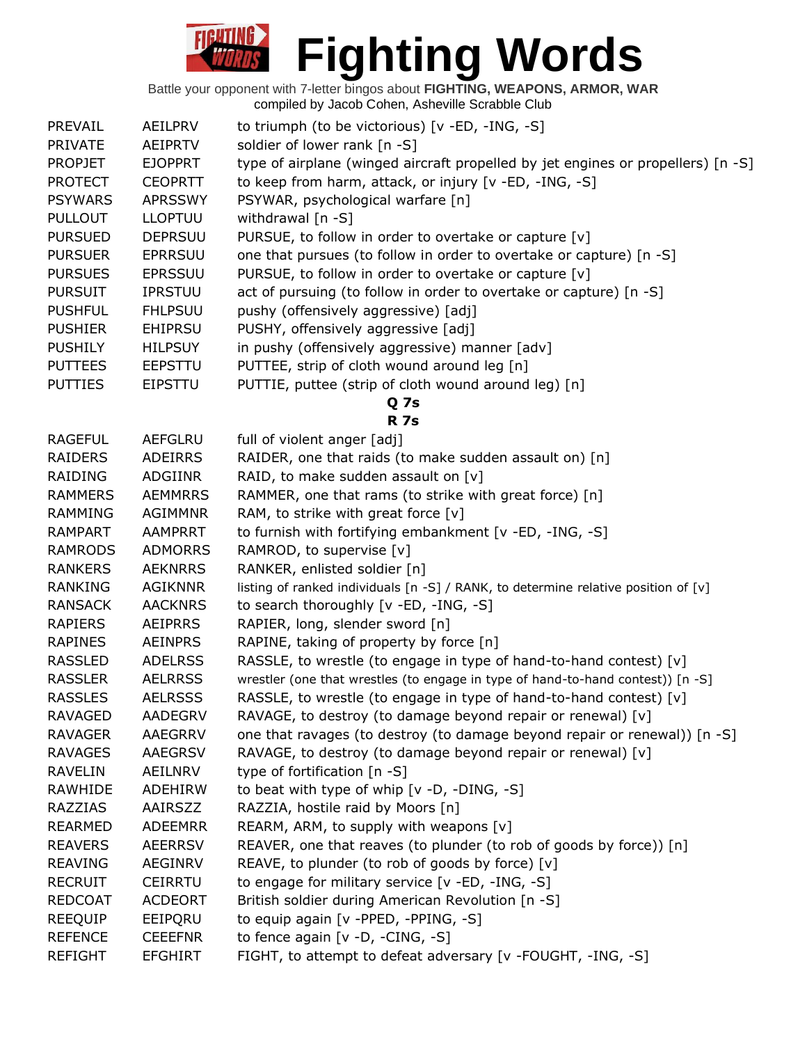| PREVAIL        | AEILPRV        | to triumph (to be victorious) [v -ED, -ING, -S]                                    |
|----------------|----------------|------------------------------------------------------------------------------------|
| <b>PRIVATE</b> | AEIPRTV        | soldier of lower rank [n -S]                                                       |
| <b>PROPJET</b> | <b>EJOPPRT</b> | type of airplane (winged aircraft propelled by jet engines or propellers) [n -S]   |
| <b>PROTECT</b> | <b>CEOPRTT</b> | to keep from harm, attack, or injury [v -ED, -ING, -S]                             |
| <b>PSYWARS</b> | <b>APRSSWY</b> | PSYWAR, psychological warfare [n]                                                  |
| <b>PULLOUT</b> | <b>LLOPTUU</b> | withdrawal [n -S]                                                                  |
| <b>PURSUED</b> | <b>DEPRSUU</b> | PURSUE, to follow in order to overtake or capture [v]                              |
| <b>PURSUER</b> | <b>EPRRSUU</b> | one that pursues (to follow in order to overtake or capture) [n -S]                |
| <b>PURSUES</b> | <b>EPRSSUU</b> | PURSUE, to follow in order to overtake or capture [v]                              |
| <b>PURSUIT</b> | <b>IPRSTUU</b> | act of pursuing (to follow in order to overtake or capture) [n -S]                 |
| <b>PUSHFUL</b> | <b>FHLPSUU</b> | pushy (offensively aggressive) [adj]                                               |
| <b>PUSHIER</b> | <b>EHIPRSU</b> | PUSHY, offensively aggressive [adj]                                                |
| <b>PUSHILY</b> | <b>HILPSUY</b> | in pushy (offensively aggressive) manner [adv]                                     |
| <b>PUTTEES</b> | <b>EEPSTTU</b> | PUTTEE, strip of cloth wound around leg [n]                                        |
| <b>PUTTIES</b> | <b>EIPSTTU</b> | PUTTIE, puttee (strip of cloth wound around leg) [n]                               |
|                |                | Q <sub>7s</sub>                                                                    |
|                |                | <b>R</b> 7s                                                                        |
| <b>RAGEFUL</b> | <b>AEFGLRU</b> | full of violent anger [adj]                                                        |
| RAIDERS        | ADEIRRS        | RAIDER, one that raids (to make sudden assault on) [n]                             |
| RAIDING        | ADGIINR        | RAID, to make sudden assault on $[v]$                                              |
| <b>RAMMERS</b> | <b>AEMMRRS</b> | RAMMER, one that rams (to strike with great force) [n]                             |
| <b>RAMMING</b> | <b>AGIMMNR</b> | RAM, to strike with great force $[v]$                                              |
| <b>RAMPART</b> | <b>AAMPRRT</b> | to furnish with fortifying embankment [v -ED, -ING, -S]                            |
| <b>RAMRODS</b> | <b>ADMORRS</b> | RAMROD, to supervise [v]                                                           |
| <b>RANKERS</b> | <b>AEKNRRS</b> | RANKER, enlisted soldier [n]                                                       |
| <b>RANKING</b> | <b>AGIKNNR</b> | listing of ranked individuals [n -S] / RANK, to determine relative position of [v] |
| <b>RANSACK</b> | <b>AACKNRS</b> | to search thoroughly [v -ED, -ING, -S]                                             |
| <b>RAPIERS</b> | <b>AEIPRRS</b> | RAPIER, long, slender sword [n]                                                    |
| <b>RAPINES</b> | <b>AEINPRS</b> | RAPINE, taking of property by force [n]                                            |
| <b>RASSLED</b> | <b>ADELRSS</b> | RASSLE, to wrestle (to engage in type of hand-to-hand contest) [v]                 |
| <b>RASSLER</b> | <b>AELRRSS</b> | wrestler (one that wrestles (to engage in type of hand-to-hand contest)) [n -S]    |
| <b>RASSLES</b> | <b>AELRSSS</b> | RASSLE, to wrestle (to engage in type of hand-to-hand contest) [v]                 |
| <b>RAVAGED</b> | <b>AADEGRV</b> | RAVAGE, to destroy (to damage beyond repair or renewal) [v]                        |
| <b>RAVAGER</b> | AAEGRRV        | one that ravages (to destroy (to damage beyond repair or renewal)) [n -S]          |
| <b>RAVAGES</b> | AAEGRSV        | RAVAGE, to destroy (to damage beyond repair or renewal) [v]                        |
| <b>RAVELIN</b> | AEILNRV        | type of fortification [n -S]                                                       |
| RAWHIDE        | ADEHIRW        | to beat with type of whip $[v -D, -DING, -S]$                                      |
| <b>RAZZIAS</b> | AAIRSZZ        | RAZZIA, hostile raid by Moors [n]                                                  |
| <b>REARMED</b> | <b>ADEEMRR</b> | REARM, ARM, to supply with weapons [v]                                             |
| <b>REAVERS</b> | <b>AEERRSV</b> | REAVER, one that reaves (to plunder (to rob of goods by force)) [n]                |
| <b>REAVING</b> | AEGINRV        | REAVE, to plunder (to rob of goods by force) [v]                                   |
| <b>RECRUIT</b> | <b>CEIRRTU</b> | to engage for military service [v -ED, -ING, -S]                                   |
| <b>REDCOAT</b> | <b>ACDEORT</b> | British soldier during American Revolution [n -S]                                  |
| <b>REEQUIP</b> | EEIPQRU        | to equip again [v -PPED, -PPING, -S]                                               |
| <b>REFENCE</b> | <b>CEEEFNR</b> | to fence again $[v -D, -CING, -S]$                                                 |
| <b>REFIGHT</b> | EFGHIRT        | FIGHT, to attempt to defeat adversary [v -FOUGHT, -ING, -S]                        |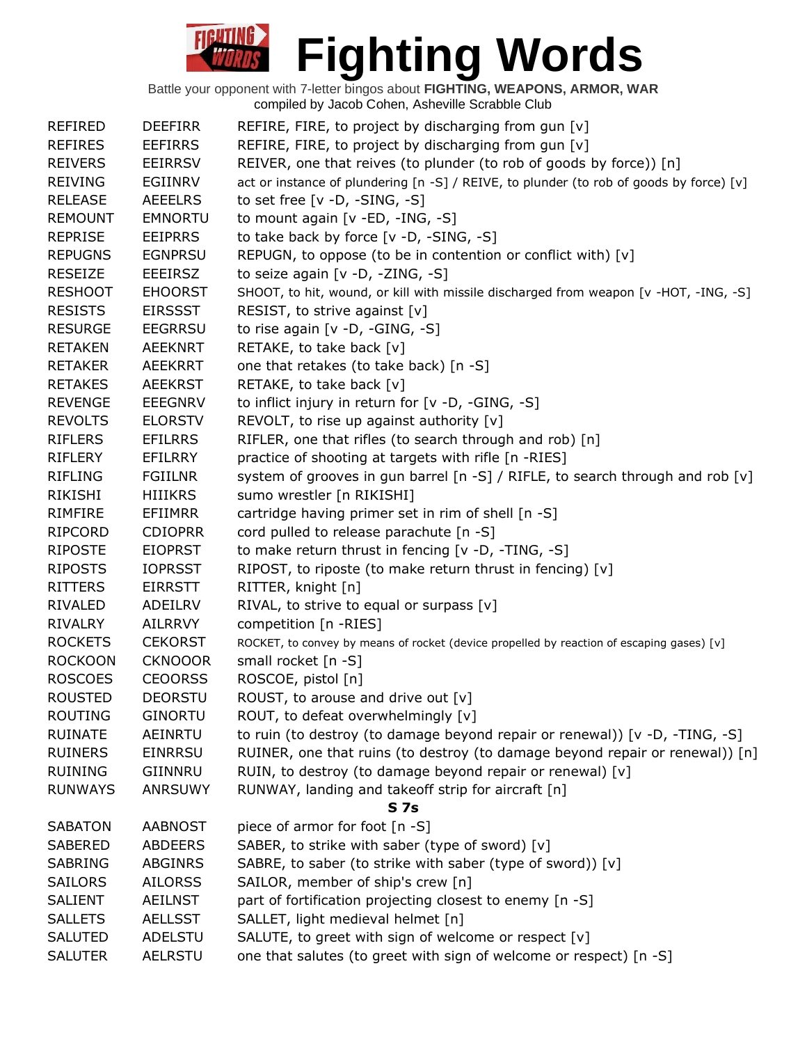| <b>REFIRED</b> | <b>DEEFIRR</b> | REFIRE, FIRE, to project by discharging from gun [v]                                      |
|----------------|----------------|-------------------------------------------------------------------------------------------|
| <b>REFIRES</b> | <b>EEFIRRS</b> | REFIRE, FIRE, to project by discharging from gun [v]                                      |
| <b>REIVERS</b> | <b>EEIRRSV</b> | REIVER, one that reives (to plunder (to rob of goods by force)) [n]                       |
| <b>REIVING</b> | EGIINRV        | act or instance of plundering [n -S] / REIVE, to plunder (to rob of goods by force) [v]   |
| <b>RELEASE</b> | <b>AEEELRS</b> | to set free [v -D, -SING, -S]                                                             |
| <b>REMOUNT</b> | <b>EMNORTU</b> | to mount again [v -ED, -ING, -S]                                                          |
| <b>REPRISE</b> | <b>EEIPRRS</b> | to take back by force [v -D, -SING, -S]                                                   |
| <b>REPUGNS</b> | <b>EGNPRSU</b> | REPUGN, to oppose (to be in contention or conflict with) [v]                              |
| <b>RESEIZE</b> | <b>EEEIRSZ</b> | to seize again [v -D, -ZING, -S]                                                          |
| <b>RESHOOT</b> | <b>EHOORST</b> | SHOOT, to hit, wound, or kill with missile discharged from weapon [v -HOT, -ING, -S]      |
| <b>RESISTS</b> | <b>EIRSSST</b> | RESIST, to strive against [v]                                                             |
| <b>RESURGE</b> | <b>EEGRRSU</b> | to rise again $[v -D, -GING, -S]$                                                         |
| <b>RETAKEN</b> | AEEKNRT        | RETAKE, to take back [v]                                                                  |
| <b>RETAKER</b> | <b>AEEKRRT</b> | one that retakes (to take back) [n -S]                                                    |
| <b>RETAKES</b> | <b>AEEKRST</b> | RETAKE, to take back [v]                                                                  |
| <b>REVENGE</b> | <b>EEEGNRV</b> | to inflict injury in return for [v -D, -GING, -S]                                         |
| <b>REVOLTS</b> | <b>ELORSTV</b> | REVOLT, to rise up against authority [v]                                                  |
| <b>RIFLERS</b> | <b>EFILRRS</b> | RIFLER, one that rifles (to search through and rob) [n]                                   |
| <b>RIFLERY</b> | EFILRRY        | practice of shooting at targets with rifle [n -RIES]                                      |
| <b>RIFLING</b> | <b>FGIILNR</b> | system of grooves in gun barrel [n -S] / RIFLE, to search through and rob [v]             |
| <b>RIKISHI</b> | <b>HIIIKRS</b> | sumo wrestler [n RIKISHI]                                                                 |
| <b>RIMFIRE</b> | <b>EFIIMRR</b> | cartridge having primer set in rim of shell [n -S]                                        |
| <b>RIPCORD</b> | <b>CDIOPRR</b> | cord pulled to release parachute [n -S]                                                   |
| <b>RIPOSTE</b> | <b>EIOPRST</b> |                                                                                           |
|                |                | to make return thrust in fencing [v -D, -TING, -S]                                        |
| <b>RIPOSTS</b> | <b>IOPRSST</b> | RIPOST, to riposte (to make return thrust in fencing) [v]                                 |
| <b>RITTERS</b> | <b>EIRRSTT</b> | RITTER, knight [n]                                                                        |
| RIVALED        | ADEILRV        | RIVAL, to strive to equal or surpass $[v]$                                                |
| <b>RIVALRY</b> | <b>AILRRVY</b> | competition [n -RIES]                                                                     |
| <b>ROCKETS</b> | <b>CEKORST</b> | ROCKET, to convey by means of rocket (device propelled by reaction of escaping gases) [v] |
| <b>ROCKOON</b> | <b>CKNOOOR</b> | small rocket [n -S]                                                                       |
| <b>ROSCOES</b> | <b>CEOORSS</b> | ROSCOE, pistol [n]                                                                        |
| <b>ROUSTED</b> | <b>DEORSTU</b> | ROUST, to arouse and drive out [v]                                                        |
| <b>ROUTING</b> | <b>GINORTU</b> | ROUT, to defeat overwhelmingly [v]                                                        |
| <b>RUINATE</b> | AEINRTU        | to ruin (to destroy (to damage beyond repair or renewal)) [v -D, -TING, -S]               |
| <b>RUINERS</b> | <b>EINRRSU</b> | RUINER, one that ruins (to destroy (to damage beyond repair or renewal)) [n]              |
| <b>RUINING</b> | GIINNRU        | RUIN, to destroy (to damage beyond repair or renewal) [v]                                 |
| <b>RUNWAYS</b> | <b>ANRSUWY</b> | RUNWAY, landing and takeoff strip for aircraft [n]                                        |
|                |                | S <sub>7s</sub>                                                                           |
| <b>SABATON</b> | <b>AABNOST</b> | piece of armor for foot [n -S]                                                            |
| SABERED        | <b>ABDEERS</b> | SABER, to strike with saber (type of sword) [v]                                           |
| <b>SABRING</b> | <b>ABGINRS</b> | SABRE, to saber (to strike with saber (type of sword)) [v]                                |
| <b>SAILORS</b> | <b>AILORSS</b> | SAILOR, member of ship's crew [n]                                                         |
| <b>SALIENT</b> | AEILNST        | part of fortification projecting closest to enemy [n -S]                                  |
| <b>SALLETS</b> | <b>AELLSST</b> | SALLET, light medieval helmet [n]                                                         |
| <b>SALUTED</b> | <b>ADELSTU</b> | SALUTE, to greet with sign of welcome or respect [v]                                      |
| <b>SALUTER</b> | <b>AELRSTU</b> | one that salutes (to greet with sign of welcome or respect) [n -S]                        |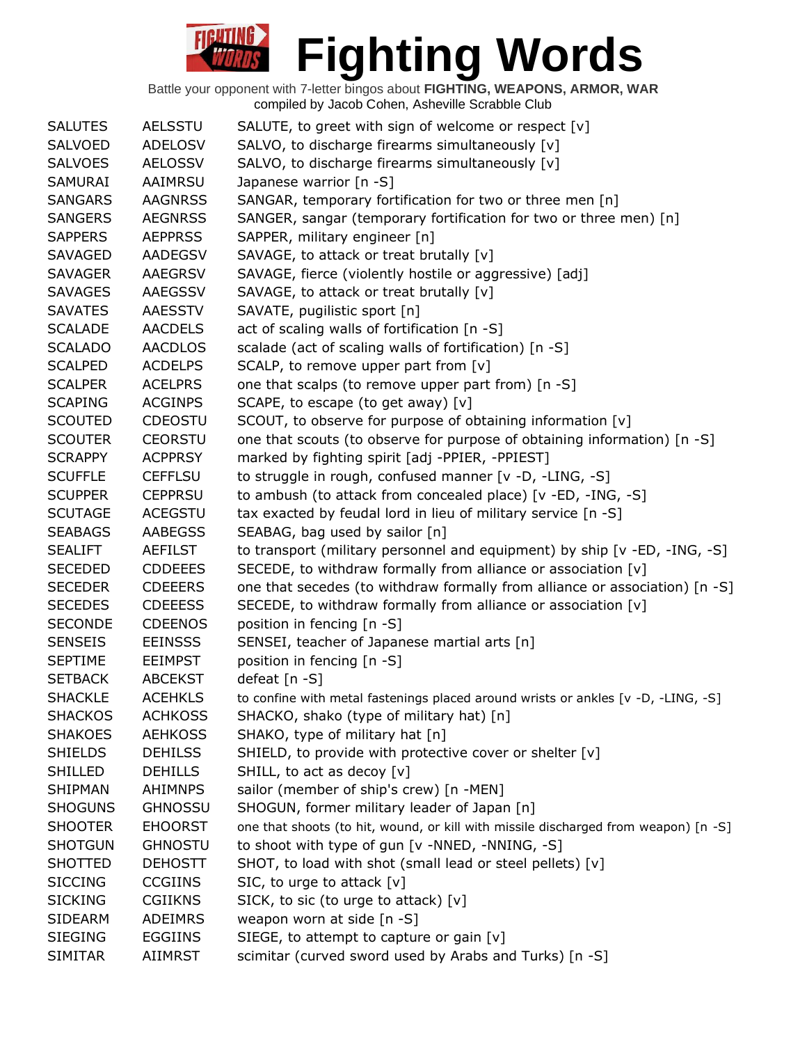| <b>SALUTES</b> | <b>AELSSTU</b> | SALUTE, to greet with sign of welcome or respect [v]                                |
|----------------|----------------|-------------------------------------------------------------------------------------|
| SALVOED        | <b>ADELOSV</b> | SALVO, to discharge firearms simultaneously [v]                                     |
| <b>SALVOES</b> | <b>AELOSSV</b> | SALVO, to discharge firearms simultaneously [v]                                     |
| <b>SAMURAI</b> | AAIMRSU        | Japanese warrior [n -S]                                                             |
| <b>SANGARS</b> | <b>AAGNRSS</b> | SANGAR, temporary fortification for two or three men [n]                            |
| <b>SANGERS</b> | <b>AEGNRSS</b> | SANGER, sangar (temporary fortification for two or three men) [n]                   |
| <b>SAPPERS</b> | <b>AEPPRSS</b> | SAPPER, military engineer [n]                                                       |
| <b>SAVAGED</b> | AADEGSV        | SAVAGE, to attack or treat brutally [v]                                             |
| <b>SAVAGER</b> | <b>AAEGRSV</b> | SAVAGE, fierce (violently hostile or aggressive) [adj]                              |
| <b>SAVAGES</b> | <b>AAEGSSV</b> | SAVAGE, to attack or treat brutally [v]                                             |
| <b>SAVATES</b> | <b>AAESSTV</b> | SAVATE, pugilistic sport [n]                                                        |
| <b>SCALADE</b> | <b>AACDELS</b> | act of scaling walls of fortification [n -S]                                        |
| <b>SCALADO</b> | <b>AACDLOS</b> | scalade (act of scaling walls of fortification) [n -S]                              |
| <b>SCALPED</b> | <b>ACDELPS</b> | SCALP, to remove upper part from [v]                                                |
| <b>SCALPER</b> | <b>ACELPRS</b> | one that scalps (to remove upper part from) [n -S]                                  |
| <b>SCAPING</b> | <b>ACGINPS</b> | SCAPE, to escape (to get away) [v]                                                  |
| <b>SCOUTED</b> | <b>CDEOSTU</b> | SCOUT, to observe for purpose of obtaining information [v]                          |
| <b>SCOUTER</b> | <b>CEORSTU</b> | one that scouts (to observe for purpose of obtaining information) [n -S]            |
| <b>SCRAPPY</b> | <b>ACPPRSY</b> | marked by fighting spirit [adj -PPIER, -PPIEST]                                     |
| <b>SCUFFLE</b> | <b>CEFFLSU</b> | to struggle in rough, confused manner [v -D, -LING, -S]                             |
| <b>SCUPPER</b> | <b>CEPPRSU</b> | to ambush (to attack from concealed place) [v -ED, -ING, -S]                        |
| <b>SCUTAGE</b> | <b>ACEGSTU</b> | tax exacted by feudal lord in lieu of military service [n -S]                       |
| <b>SEABAGS</b> | <b>AABEGSS</b> | SEABAG, bag used by sailor [n]                                                      |
| <b>SEALIFT</b> | <b>AEFILST</b> | to transport (military personnel and equipment) by ship [v -ED, -ING, -S]           |
| <b>SECEDED</b> | <b>CDDEEES</b> | SECEDE, to withdraw formally from alliance or association [v]                       |
| <b>SECEDER</b> | <b>CDEEERS</b> | one that secedes (to withdraw formally from alliance or association) [n -S]         |
| <b>SECEDES</b> | <b>CDEEESS</b> | SECEDE, to withdraw formally from alliance or association [v]                       |
| <b>SECONDE</b> | <b>CDEENOS</b> | position in fencing [n -S]                                                          |
| <b>SENSEIS</b> | <b>EEINSSS</b> | SENSEI, teacher of Japanese martial arts [n]                                        |
| <b>SEPTIME</b> | <b>EEIMPST</b> | position in fencing [n -S]                                                          |
| <b>SETBACK</b> | <b>ABCEKST</b> | defeat [n -S]                                                                       |
| <b>SHACKLE</b> | <b>ACEHKLS</b> | to confine with metal fastenings placed around wrists or ankles [v -D, -LING, -S]   |
| <b>SHACKOS</b> | <b>ACHKOSS</b> | SHACKO, shako (type of military hat) [n]                                            |
| <b>SHAKOES</b> | <b>AEHKOSS</b> | SHAKO, type of military hat [n]                                                     |
| <b>SHIELDS</b> | <b>DEHILSS</b> | SHIELD, to provide with protective cover or shelter [v]                             |
| <b>SHILLED</b> | <b>DEHILLS</b> | SHILL, to act as decoy [v]                                                          |
| <b>SHIPMAN</b> | <b>AHIMNPS</b> | sailor (member of ship's crew) [n -MEN]                                             |
| <b>SHOGUNS</b> | <b>GHNOSSU</b> | SHOGUN, former military leader of Japan [n]                                         |
| <b>SHOOTER</b> | <b>EHOORST</b> | one that shoots (to hit, wound, or kill with missile discharged from weapon) [n -S] |
| <b>SHOTGUN</b> | <b>GHNOSTU</b> | to shoot with type of gun [v -NNED, -NNING, -S]                                     |
| <b>SHOTTED</b> | <b>DEHOSTT</b> | SHOT, to load with shot (small lead or steel pellets) [v]                           |
| <b>SICCING</b> | <b>CCGIINS</b> | SIC, to urge to attack [v]                                                          |
| <b>SICKING</b> | <b>CGIIKNS</b> | SICK, to sic (to urge to attack) [v]                                                |
| <b>SIDEARM</b> | <b>ADEIMRS</b> | weapon worn at side [n -S]                                                          |
| <b>SIEGING</b> | <b>EGGIINS</b> | SIEGE, to attempt to capture or gain [v]                                            |
| <b>SIMITAR</b> | AIIMRST        | scimitar (curved sword used by Arabs and Turks) [n -S]                              |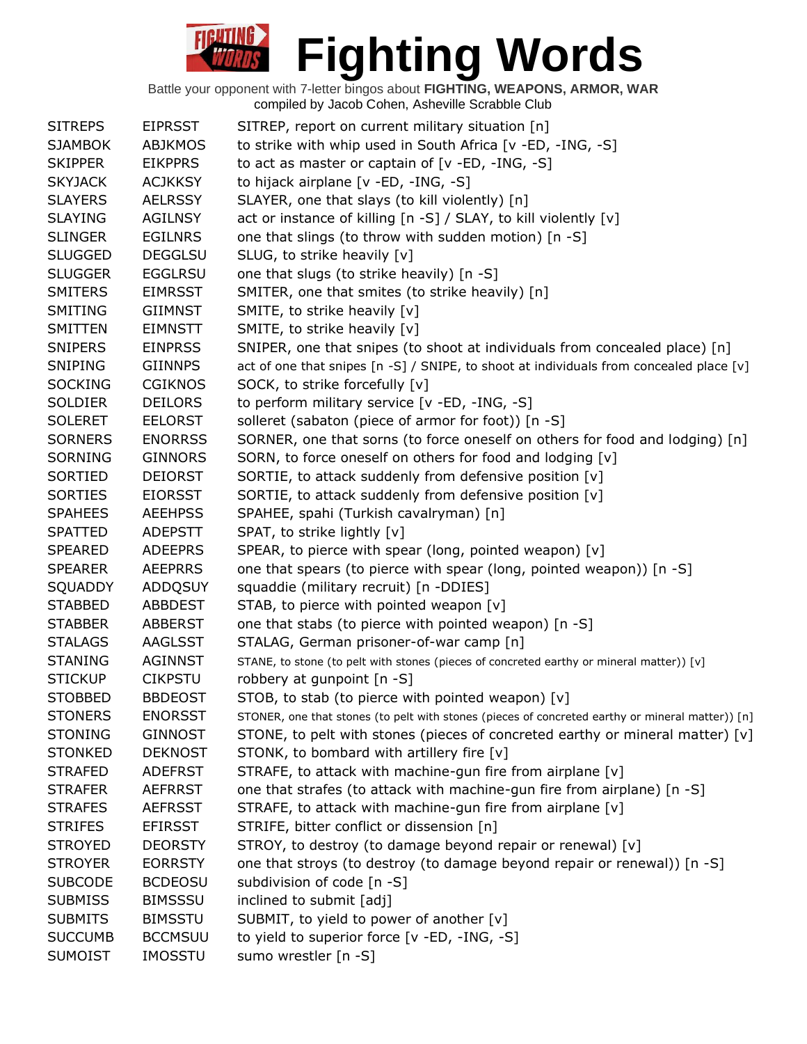| <b>SITREPS</b> | <b>EIPRSST</b> | SITREP, report on current military situation [n]                                                 |
|----------------|----------------|--------------------------------------------------------------------------------------------------|
| <b>SJAMBOK</b> | <b>ABJKMOS</b> | to strike with whip used in South Africa [v -ED, -ING, -S]                                       |
| <b>SKIPPER</b> | <b>EIKPPRS</b> | to act as master or captain of [v -ED, -ING, -S]                                                 |
| <b>SKYJACK</b> | <b>ACJKKSY</b> | to hijack airplane [v -ED, -ING, -S]                                                             |
| <b>SLAYERS</b> | <b>AELRSSY</b> | SLAYER, one that slays (to kill violently) [n]                                                   |
| <b>SLAYING</b> | <b>AGILNSY</b> | act or instance of killing [n -S] / SLAY, to kill violently [v]                                  |
| <b>SLINGER</b> | <b>EGILNRS</b> | one that slings (to throw with sudden motion) [n -S]                                             |
| <b>SLUGGED</b> | <b>DEGGLSU</b> | SLUG, to strike heavily [v]                                                                      |
| <b>SLUGGER</b> | <b>EGGLRSU</b> | one that slugs (to strike heavily) [n -S]                                                        |
| SMITERS        | <b>EIMRSST</b> | SMITER, one that smites (to strike heavily) [n]                                                  |
| <b>SMITING</b> | <b>GIIMNST</b> | SMITE, to strike heavily [v]                                                                     |
| SMITTEN        | <b>EIMNSTT</b> | SMITE, to strike heavily [v]                                                                     |
| SNIPERS        | <b>EINPRSS</b> | SNIPER, one that snipes (to shoot at individuals from concealed place) [n]                       |
| <b>SNIPING</b> | <b>GIINNPS</b> | act of one that snipes [n -S] / SNIPE, to shoot at individuals from concealed place [v]          |
| <b>SOCKING</b> | <b>CGIKNOS</b> | SOCK, to strike forcefully [v]                                                                   |
| <b>SOLDIER</b> | <b>DEILORS</b> | to perform military service [v -ED, -ING, -S]                                                    |
| <b>SOLERET</b> | <b>EELORST</b> | solleret (sabaton (piece of armor for foot)) [n -S]                                              |
| <b>SORNERS</b> | <b>ENORRSS</b> | SORNER, one that sorns (to force oneself on others for food and lodging) [n]                     |
| SORNING        | <b>GINNORS</b> | SORN, to force oneself on others for food and lodging [v]                                        |
| <b>SORTIED</b> | <b>DEIORST</b> | SORTIE, to attack suddenly from defensive position [v]                                           |
| <b>SORTIES</b> | <b>EIORSST</b> | SORTIE, to attack suddenly from defensive position [v]                                           |
| <b>SPAHEES</b> | <b>AEEHPSS</b> | SPAHEE, spahi (Turkish cavalryman) [n]                                                           |
| <b>SPATTED</b> | <b>ADEPSTT</b> | SPAT, to strike lightly [v]                                                                      |
| <b>SPEARED</b> | <b>ADEEPRS</b> | SPEAR, to pierce with spear (long, pointed weapon) [v]                                           |
| <b>SPEARER</b> | <b>AEEPRRS</b> | one that spears (to pierce with spear (long, pointed weapon)) [n -S]                             |
| SQUADDY        | ADDQSUY        | squaddie (military recruit) [n -DDIES]                                                           |
| <b>STABBED</b> | <b>ABBDEST</b> | STAB, to pierce with pointed weapon [v]                                                          |
| <b>STABBER</b> | <b>ABBERST</b> | one that stabs (to pierce with pointed weapon) [n -S]                                            |
| <b>STALAGS</b> | AAGLSST        | STALAG, German prisoner-of-war camp [n]                                                          |
| <b>STANING</b> | <b>AGINNST</b> | STANE, to stone (to pelt with stones (pieces of concreted earthy or mineral matter)) [v]         |
| <b>STICKUP</b> | <b>CIKPSTU</b> | robbery at gunpoint [n -S]                                                                       |
| <b>STOBBED</b> | <b>BBDEOST</b> | STOB, to stab (to pierce with pointed weapon) [v]                                                |
| <b>STONERS</b> | <b>ENORSST</b> | STONER, one that stones (to pelt with stones (pieces of concreted earthy or mineral matter)) [n] |
| <b>STONING</b> | <b>GINNOST</b> | STONE, to pelt with stones (pieces of concreted earthy or mineral matter) [v]                    |
| <b>STONKED</b> | <b>DEKNOST</b> | STONK, to bombard with artillery fire [v]                                                        |
| <b>STRAFED</b> | <b>ADEFRST</b> | STRAFE, to attack with machine-gun fire from airplane [v]                                        |
| <b>STRAFER</b> | <b>AEFRRST</b> | one that strafes (to attack with machine-gun fire from airplane) [n -S]                          |
| <b>STRAFES</b> | <b>AEFRSST</b> | STRAFE, to attack with machine-gun fire from airplane [v]                                        |
| <b>STRIFES</b> | <b>EFIRSST</b> | STRIFE, bitter conflict or dissension [n]                                                        |
| <b>STROYED</b> | <b>DEORSTY</b> | STROY, to destroy (to damage beyond repair or renewal) [v]                                       |
| <b>STROYER</b> | <b>EORRSTY</b> | one that stroys (to destroy (to damage beyond repair or renewal)) [n -S]                         |
| <b>SUBCODE</b> | <b>BCDEOSU</b> | subdivision of code [n -S]                                                                       |
| <b>SUBMISS</b> | <b>BIMSSSU</b> | inclined to submit [adj]                                                                         |
| <b>SUBMITS</b> | <b>BIMSSTU</b> | SUBMIT, to yield to power of another [v]                                                         |
| <b>SUCCUMB</b> | <b>BCCMSUU</b> | to yield to superior force [v -ED, -ING, -S]                                                     |
| <b>SUMOIST</b> | <b>IMOSSTU</b> | sumo wrestler [n -S]                                                                             |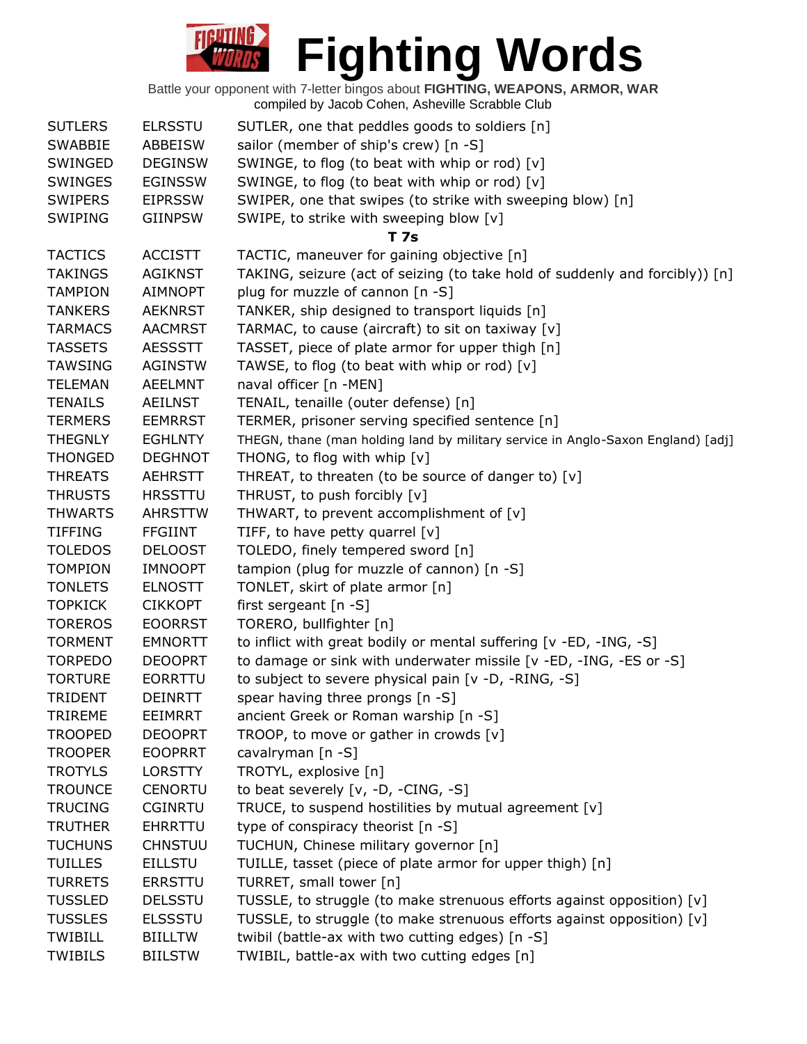| <b>SUTLERS</b> | <b>ELRSSTU</b> | SUTLER, one that peddles goods to soldiers [n]                                   |
|----------------|----------------|----------------------------------------------------------------------------------|
| <b>SWABBIE</b> | ABBEISW        | sailor (member of ship's crew) [n -S]                                            |
| SWINGED        | <b>DEGINSW</b> | SWINGE, to flog (to beat with whip or rod) [v]                                   |
| <b>SWINGES</b> | <b>EGINSSW</b> | SWINGE, to flog (to beat with whip or rod) [v]                                   |
| <b>SWIPERS</b> | <b>EIPRSSW</b> | SWIPER, one that swipes (to strike with sweeping blow) [n]                       |
| SWIPING        | <b>GIINPSW</b> | SWIPE, to strike with sweeping blow [v]                                          |
|                |                | <b>T7s</b>                                                                       |
| <b>TACTICS</b> | <b>ACCISTT</b> | TACTIC, maneuver for gaining objective [n]                                       |
| <b>TAKINGS</b> | <b>AGIKNST</b> | TAKING, seizure (act of seizing (to take hold of suddenly and forcibly)) [n]     |
| <b>TAMPION</b> | <b>AIMNOPT</b> | plug for muzzle of cannon [n -S]                                                 |
| <b>TANKERS</b> | <b>AEKNRST</b> | TANKER, ship designed to transport liquids [n]                                   |
| <b>TARMACS</b> | <b>AACMRST</b> | TARMAC, to cause (aircraft) to sit on taxiway [v]                                |
| <b>TASSETS</b> | <b>AESSSTT</b> | TASSET, piece of plate armor for upper thigh [n]                                 |
| <b>TAWSING</b> | <b>AGINSTW</b> | TAWSE, to flog (to beat with whip or rod) [v]                                    |
| <b>TELEMAN</b> | <b>AEELMNT</b> | naval officer [n -MEN]                                                           |
| <b>TENAILS</b> | <b>AEILNST</b> | TENAIL, tenaille (outer defense) [n]                                             |
| <b>TERMERS</b> | <b>EEMRRST</b> | TERMER, prisoner serving specified sentence [n]                                  |
| <b>THEGNLY</b> | <b>EGHLNTY</b> | THEGN, thane (man holding land by military service in Anglo-Saxon England) [adj] |
| <b>THONGED</b> | <b>DEGHNOT</b> | THONG, to flog with whip [v]                                                     |
| <b>THREATS</b> | <b>AEHRSTT</b> | THREAT, to threaten (to be source of danger to) [v]                              |
| <b>THRUSTS</b> | <b>HRSSTTU</b> | THRUST, to push forcibly [v]                                                     |
| <b>THWARTS</b> | <b>AHRSTTW</b> | THWART, to prevent accomplishment of $[v]$                                       |
| <b>TIFFING</b> | <b>FFGIINT</b> | TIFF, to have petty quarrel [v]                                                  |
| <b>TOLEDOS</b> | <b>DELOOST</b> | TOLEDO, finely tempered sword [n]                                                |
| <b>TOMPION</b> |                |                                                                                  |
|                | <b>IMNOOPT</b> | tampion (plug for muzzle of cannon) [n -S]                                       |
| <b>TONLETS</b> | <b>ELNOSTT</b> | TONLET, skirt of plate armor [n]                                                 |
| <b>TOPKICK</b> | <b>CIKKOPT</b> | first sergeant [n -S]                                                            |
| <b>TOREROS</b> | <b>EOORRST</b> | TORERO, bullfighter [n]                                                          |
| <b>TORMENT</b> | <b>EMNORTT</b> | to inflict with great bodily or mental suffering [v -ED, -ING, -S]               |
| <b>TORPEDO</b> | <b>DEOOPRT</b> | to damage or sink with underwater missile [v -ED, -ING, -ES or -S]               |
| <b>TORTURE</b> | <b>EORRTTU</b> | to subject to severe physical pain [v -D, -RING, -S]                             |
| <b>TRIDENT</b> | <b>DEINRTT</b> | spear having three prongs $[n - S]$                                              |
| <b>TRIREME</b> | <b>EEIMRRT</b> | ancient Greek or Roman warship [n -S]                                            |
| <b>TROOPED</b> | <b>DEOOPRT</b> | TROOP, to move or gather in crowds [v]                                           |
| <b>TROOPER</b> | <b>EOOPRRT</b> | cavalryman [n -S]                                                                |
| <b>TROTYLS</b> | <b>LORSTTY</b> | TROTYL, explosive [n]                                                            |
| <b>TROUNCE</b> | <b>CENORTU</b> | to beat severely [v, -D, -CING, -S]                                              |
| <b>TRUCING</b> | <b>CGINRTU</b> | TRUCE, to suspend hostilities by mutual agreement [v]                            |
| <b>TRUTHER</b> | <b>EHRRTTU</b> | type of conspiracy theorist [n -S]                                               |
| <b>TUCHUNS</b> | <b>CHNSTUU</b> | TUCHUN, Chinese military governor [n]                                            |
| <b>TUILLES</b> | <b>EILLSTU</b> | TUILLE, tasset (piece of plate armor for upper thigh) [n]                        |
| <b>TURRETS</b> | <b>ERRSTTU</b> | TURRET, small tower [n]                                                          |
| <b>TUSSLED</b> | <b>DELSSTU</b> | TUSSLE, to struggle (to make strenuous efforts against opposition) [v]           |
| <b>TUSSLES</b> | <b>ELSSSTU</b> | TUSSLE, to struggle (to make strenuous efforts against opposition) [v]           |
| <b>TWIBILL</b> | <b>BIILLTW</b> | twibil (battle-ax with two cutting edges) [n -S]                                 |
| <b>TWIBILS</b> | <b>BIILSTW</b> | TWIBIL, battle-ax with two cutting edges [n]                                     |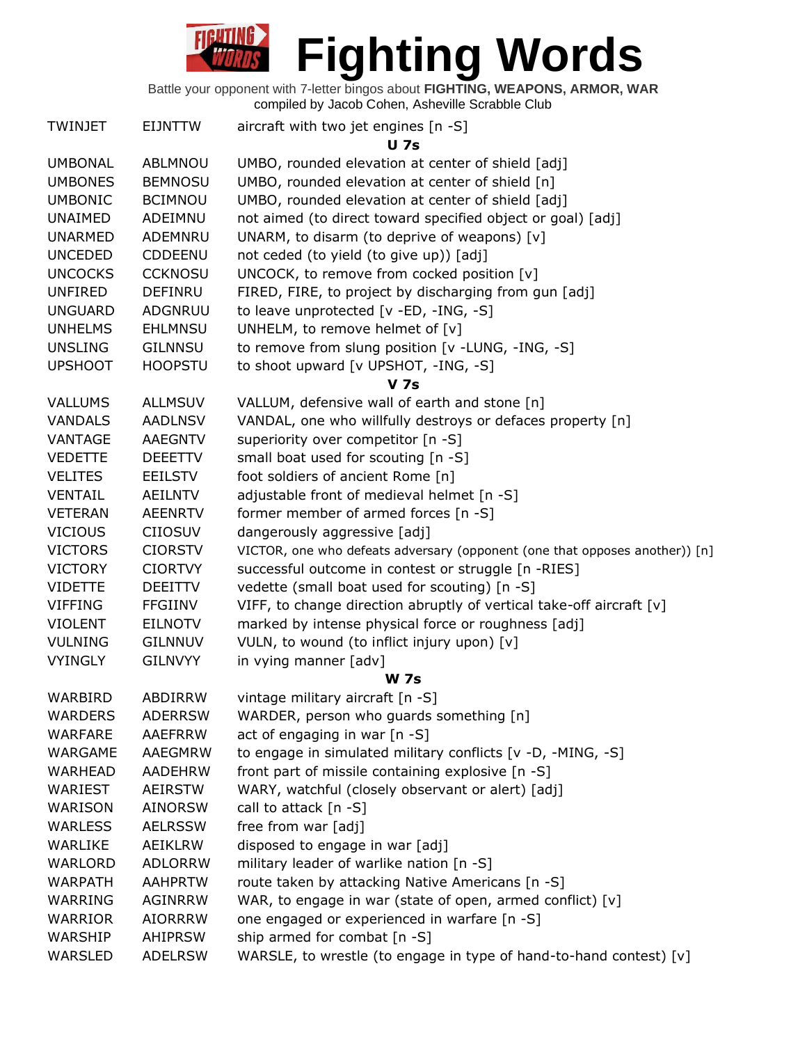

| <b>TWINJET</b> | <b>EIJNTTW</b>                   | aircraft with two jet engines [n -S]                                        |
|----------------|----------------------------------|-----------------------------------------------------------------------------|
| <b>UMBONAL</b> | ABLMNOU                          | <b>U</b> 7s<br>UMBO, rounded elevation at center of shield [adj]            |
| <b>UMBONES</b> | <b>BEMNOSU</b>                   | UMBO, rounded elevation at center of shield [n]                             |
| <b>UMBONIC</b> | <b>BCIMNOU</b>                   | UMBO, rounded elevation at center of shield [adj]                           |
| <b>UNAIMED</b> | ADEIMNU                          | not aimed (to direct toward specified object or goal) [adj]                 |
| <b>UNARMED</b> | ADEMNRU                          | UNARM, to disarm (to deprive of weapons) [v]                                |
| <b>UNCEDED</b> | <b>CDDEENU</b>                   | not ceded (to yield (to give up)) [adj]                                     |
| <b>UNCOCKS</b> | <b>CCKNOSU</b>                   | UNCOCK, to remove from cocked position [v]                                  |
| <b>UNFIRED</b> | <b>DEFINRU</b>                   | FIRED, FIRE, to project by discharging from gun [adj]                       |
| <b>UNGUARD</b> | ADGNRUU                          | to leave unprotected [v -ED, -ING, -S]                                      |
|                |                                  |                                                                             |
| <b>UNHELMS</b> | <b>EHLMNSU</b>                   | UNHELM, to remove helmet of [v]                                             |
| <b>UNSLING</b> | <b>GILNNSU</b>                   | to remove from slung position [v -LUNG, -ING, -S]                           |
| <b>UPSHOOT</b> | <b>HOOPSTU</b>                   | to shoot upward [v UPSHOT, -ING, -S]                                        |
| <b>VALLUMS</b> | <b>ALLMSUV</b>                   | <b>V</b> 7s<br>VALLUM, defensive wall of earth and stone [n]                |
| <b>VANDALS</b> | <b>AADLNSV</b>                   | VANDAL, one who willfully destroys or defaces property [n]                  |
| VANTAGE        |                                  |                                                                             |
|                | <b>AAEGNTV</b><br><b>DEEETTV</b> | superiority over competitor [n -S]                                          |
| <b>VEDETTE</b> |                                  | small boat used for scouting [n -S]                                         |
| <b>VELITES</b> | <b>EEILSTV</b>                   | foot soldiers of ancient Rome [n]                                           |
| <b>VENTAIL</b> | <b>AEILNTV</b>                   | adjustable front of medieval helmet [n -S]                                  |
| <b>VETERAN</b> | <b>AEENRTV</b>                   | former member of armed forces [n -S]                                        |
| <b>VICIOUS</b> | <b>CIIOSUV</b>                   | dangerously aggressive [adj]                                                |
| <b>VICTORS</b> | <b>CIORSTV</b>                   | VICTOR, one who defeats adversary (opponent (one that opposes another)) [n] |
| <b>VICTORY</b> | <b>CIORTVY</b>                   | successful outcome in contest or struggle [n -RIES]                         |
| <b>VIDETTE</b> | <b>DEEITTV</b>                   | vedette (small boat used for scouting) [n -S]                               |
| <b>VIFFING</b> | <b>FFGIINV</b>                   | VIFF, to change direction abruptly of vertical take-off aircraft [v]        |
| <b>VIOLENT</b> | <b>EILNOTV</b>                   | marked by intense physical force or roughness [adj]                         |
| <b>VULNING</b> | <b>GILNNUV</b>                   | VULN, to wound (to inflict injury upon) [v]                                 |
| <b>VYINGLY</b> | <b>GILNVYY</b>                   | in vying manner [adv]                                                       |
| WARBIRD        | ABDIRRW                          | <b>W</b> 7s<br>vintage military aircraft [n -S]                             |
| <b>WARDERS</b> | <b>ADERRSW</b>                   | WARDER, person who guards something [n]                                     |
| <b>WARFARE</b> | AAEFRRW                          | act of engaging in war [n -S]                                               |
| WARGAME        | AAEGMRW                          | to engage in simulated military conflicts [v -D, -MING, -S]                 |
| <b>WARHEAD</b> | <b>AADEHRW</b>                   | front part of missile containing explosive [n -S]                           |
| WARIEST        | AEIRSTW                          | WARY, watchful (closely observant or alert) [adj]                           |
| WARISON        | <b>AINORSW</b>                   | call to attack [n -S]                                                       |
| <b>WARLESS</b> | <b>AELRSSW</b>                   | free from war [adj]                                                         |
| WARLIKE        | AEIKLRW                          | disposed to engage in war [adj]                                             |
| <b>WARLORD</b> | <b>ADLORRW</b>                   | military leader of warlike nation [n -S]                                    |
| <b>WARPATH</b> | <b>AAHPRTW</b>                   | route taken by attacking Native Americans [n -S]                            |
| WARRING        | <b>AGINRRW</b>                   | WAR, to engage in war (state of open, armed conflict) [v]                   |
| WARRIOR        | <b>AIORRRW</b>                   | one engaged or experienced in warfare [n -S]                                |
| WARSHIP        | <b>AHIPRSW</b>                   | ship armed for combat [n -S]                                                |
| WARSLED        | <b>ADELRSW</b>                   | WARSLE, to wrestle (to engage in type of hand-to-hand contest) [v]          |
|                |                                  |                                                                             |